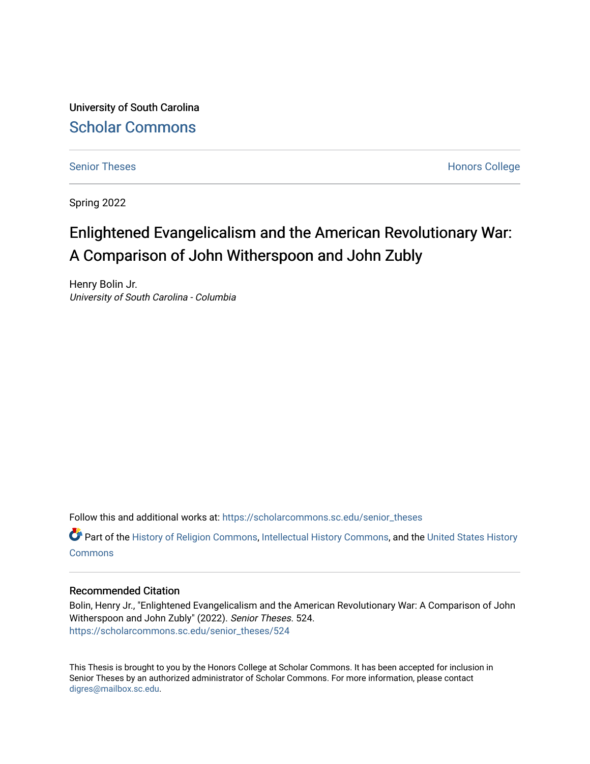University of South Carolina [Scholar Commons](https://scholarcommons.sc.edu/) 

[Senior Theses](https://scholarcommons.sc.edu/senior_theses) **Honors College** Honors College

Spring 2022

# Enlightened Evangelicalism and the American Revolutionary War: A Comparison of John Witherspoon and John Zubly

Henry Bolin Jr. University of South Carolina - Columbia

Follow this and additional works at: [https://scholarcommons.sc.edu/senior\\_theses](https://scholarcommons.sc.edu/senior_theses?utm_source=scholarcommons.sc.edu%2Fsenior_theses%2F524&utm_medium=PDF&utm_campaign=PDFCoverPages) 

**C** Part of the [History of Religion Commons](http://network.bepress.com/hgg/discipline/499?utm_source=scholarcommons.sc.edu%2Fsenior_theses%2F524&utm_medium=PDF&utm_campaign=PDFCoverPages), [Intellectual History Commons](http://network.bepress.com/hgg/discipline/501?utm_source=scholarcommons.sc.edu%2Fsenior_theses%2F524&utm_medium=PDF&utm_campaign=PDFCoverPages), and the [United States History](http://network.bepress.com/hgg/discipline/495?utm_source=scholarcommons.sc.edu%2Fsenior_theses%2F524&utm_medium=PDF&utm_campaign=PDFCoverPages) **[Commons](http://network.bepress.com/hgg/discipline/495?utm_source=scholarcommons.sc.edu%2Fsenior_theses%2F524&utm_medium=PDF&utm_campaign=PDFCoverPages)** 

### Recommended Citation

Bolin, Henry Jr., "Enlightened Evangelicalism and the American Revolutionary War: A Comparison of John Witherspoon and John Zubly" (2022). Senior Theses. 524. [https://scholarcommons.sc.edu/senior\\_theses/524](https://scholarcommons.sc.edu/senior_theses/524?utm_source=scholarcommons.sc.edu%2Fsenior_theses%2F524&utm_medium=PDF&utm_campaign=PDFCoverPages) 

This Thesis is brought to you by the Honors College at Scholar Commons. It has been accepted for inclusion in Senior Theses by an authorized administrator of Scholar Commons. For more information, please contact [digres@mailbox.sc.edu](mailto:digres@mailbox.sc.edu).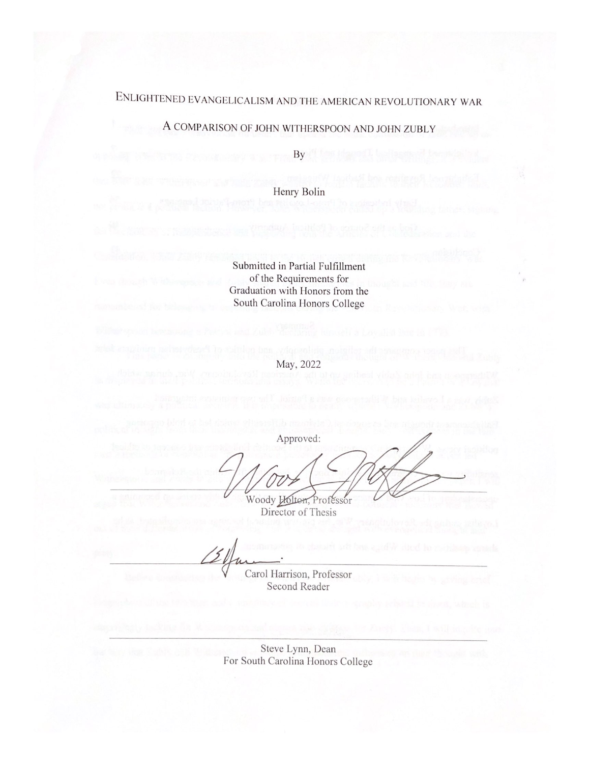# ENLIGHTENED EVANGELICALISM AND THE AMERICAN REVOLUTIONARY WAR

# A COMPARISON OF JOHN WITHERSPOON AND JOHN ZUBLY

By

Henry Bolin

Submitted in Partial Fulfillment of the Requirements for Graduation with Honors from the South Carolina Honors College

May, 2022

Approved: Woody Holton, Professor<br>Director of Thesis

Carol Harrison, Professor Second Reader

Steve Lynn, Dean For South Carolina Honors College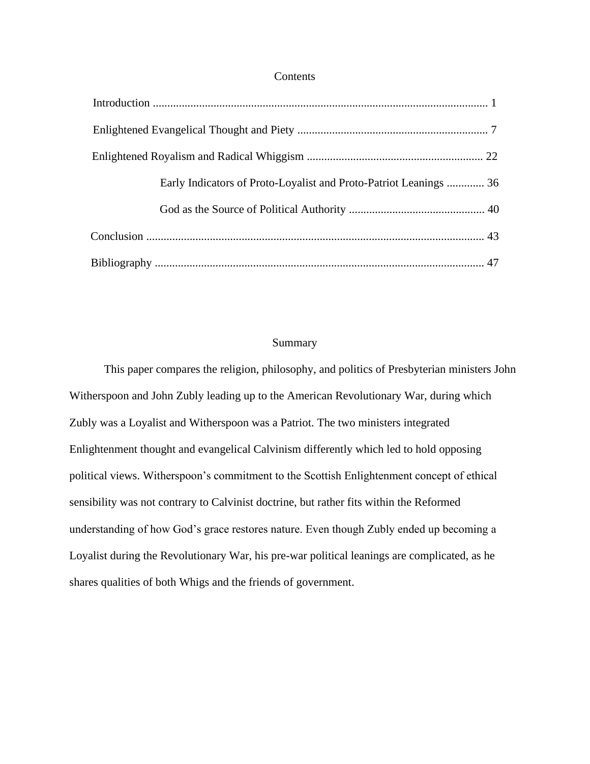#### Contents

| Early Indicators of Proto-Loyalist and Proto-Patriot Leanings  36 |  |
|-------------------------------------------------------------------|--|
|                                                                   |  |
|                                                                   |  |
|                                                                   |  |

### Summary

This paper compares the religion, philosophy, and politics of Presbyterian ministers John Witherspoon and John Zubly leading up to the American Revolutionary War, during which Zubly was a Loyalist and Witherspoon was a Patriot. The two ministers integrated Enlightenment thought and evangelical Calvinism differently which led to hold opposing political views. Witherspoon's commitment to the Scottish Enlightenment concept of ethical sensibility was not contrary to Calvinist doctrine, but rather fits within the Reformed understanding of how God's grace restores nature. Even though Zubly ended up becoming a Loyalist during the Revolutionary War, his pre-war political leanings are complicated, as he shares qualities of both Whigs and the friends of government.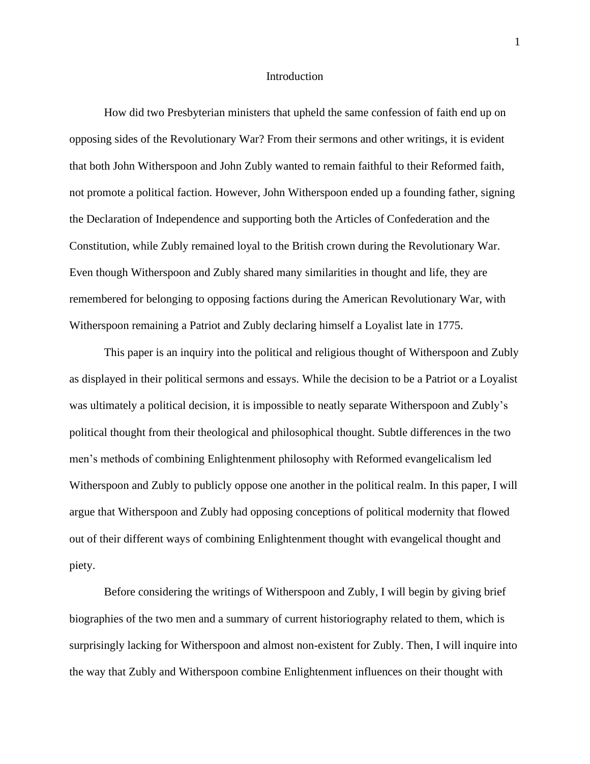#### Introduction

How did two Presbyterian ministers that upheld the same confession of faith end up on opposing sides of the Revolutionary War? From their sermons and other writings, it is evident that both John Witherspoon and John Zubly wanted to remain faithful to their Reformed faith, not promote a political faction. However, John Witherspoon ended up a founding father, signing the Declaration of Independence and supporting both the Articles of Confederation and the Constitution, while Zubly remained loyal to the British crown during the Revolutionary War. Even though Witherspoon and Zubly shared many similarities in thought and life, they are remembered for belonging to opposing factions during the American Revolutionary War, with Witherspoon remaining a Patriot and Zubly declaring himself a Loyalist late in 1775.

This paper is an inquiry into the political and religious thought of Witherspoon and Zubly as displayed in their political sermons and essays. While the decision to be a Patriot or a Loyalist was ultimately a political decision, it is impossible to neatly separate Witherspoon and Zubly's political thought from their theological and philosophical thought. Subtle differences in the two men's methods of combining Enlightenment philosophy with Reformed evangelicalism led Witherspoon and Zubly to publicly oppose one another in the political realm. In this paper, I will argue that Witherspoon and Zubly had opposing conceptions of political modernity that flowed out of their different ways of combining Enlightenment thought with evangelical thought and piety.

Before considering the writings of Witherspoon and Zubly, I will begin by giving brief biographies of the two men and a summary of current historiography related to them, which is surprisingly lacking for Witherspoon and almost non-existent for Zubly. Then, I will inquire into the way that Zubly and Witherspoon combine Enlightenment influences on their thought with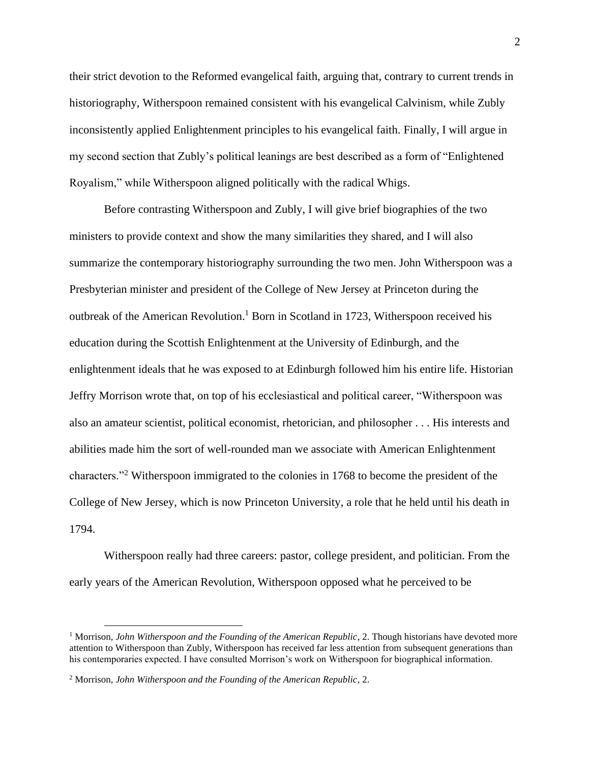their strict devotion to the Reformed evangelical faith, arguing that, contrary to current trends in historiography, Witherspoon remained consistent with his evangelical Calvinism, while Zubly inconsistently applied Enlightenment principles to his evangelical faith. Finally, I will argue in my second section that Zubly's political leanings are best described as a form of "Enlightened Royalism," while Witherspoon aligned politically with the radical Whigs.

Before contrasting Witherspoon and Zubly, I will give brief biographies of the two ministers to provide context and show the many similarities they shared, and I will also summarize the contemporary historiography surrounding the two men. John Witherspoon was a Presbyterian minister and president of the College of New Jersey at Princeton during the outbreak of the American Revolution.<sup>1</sup> Born in Scotland in 1723, Witherspoon received his education during the Scottish Enlightenment at the University of Edinburgh, and the enlightenment ideals that he was exposed to at Edinburgh followed him his entire life. Historian Jeffry Morrison wrote that, on top of his ecclesiastical and political career, "Witherspoon was also an amateur scientist, political economist, rhetorician, and philosopher . . . His interests and abilities made him the sort of well-rounded man we associate with American Enlightenment characters."<sup>2</sup> Witherspoon immigrated to the colonies in 1768 to become the president of the College of New Jersey, which is now Princeton University, a role that he held until his death in 1794.

Witherspoon really had three careers: pastor, college president, and politician. From the early years of the American Revolution, Witherspoon opposed what he perceived to be

<sup>&</sup>lt;sup>1</sup> Morrison, *John Witherspoon and the Founding of the American Republic*, 2. Though historians have devoted more attention to Witherspoon than Zubly, Witherspoon has received far less attention from subsequent generations than his contemporaries expected. I have consulted Morrison's work on Witherspoon for biographical information.

<sup>2</sup> Morrison, *John Witherspoon and the Founding of the American Republic*, 2.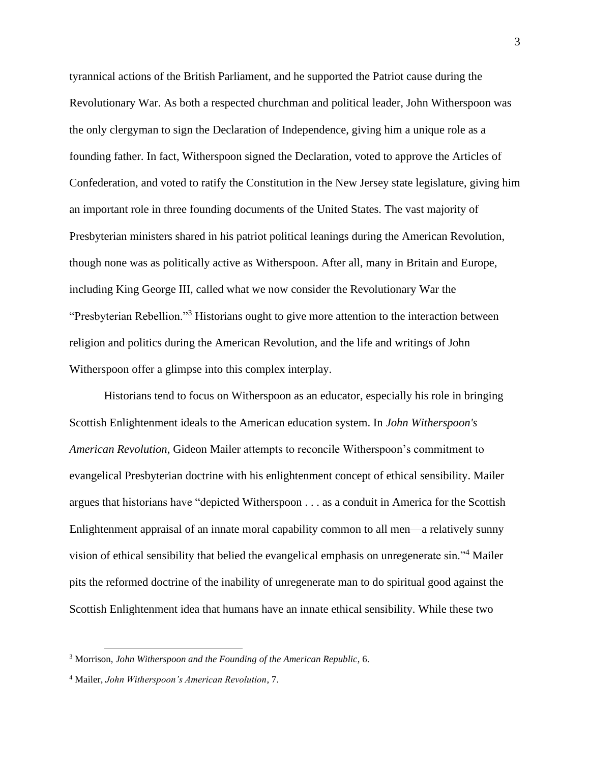tyrannical actions of the British Parliament, and he supported the Patriot cause during the Revolutionary War. As both a respected churchman and political leader, John Witherspoon was the only clergyman to sign the Declaration of Independence, giving him a unique role as a founding father. In fact, Witherspoon signed the Declaration, voted to approve the Articles of Confederation, and voted to ratify the Constitution in the New Jersey state legislature, giving him an important role in three founding documents of the United States. The vast majority of Presbyterian ministers shared in his patriot political leanings during the American Revolution, though none was as politically active as Witherspoon. After all, many in Britain and Europe, including King George III, called what we now consider the Revolutionary War the "Presbyterian Rebellion."<sup>3</sup> Historians ought to give more attention to the interaction between religion and politics during the American Revolution, and the life and writings of John Witherspoon offer a glimpse into this complex interplay.

Historians tend to focus on Witherspoon as an educator, especially his role in bringing Scottish Enlightenment ideals to the American education system. In *John Witherspoon's American Revolution*, Gideon Mailer attempts to reconcile Witherspoon's commitment to evangelical Presbyterian doctrine with his enlightenment concept of ethical sensibility. Mailer argues that historians have "depicted Witherspoon . . . as a conduit in America for the Scottish Enlightenment appraisal of an innate moral capability common to all men—a relatively sunny vision of ethical sensibility that belied the evangelical emphasis on unregenerate sin."<sup>4</sup> Mailer pits the reformed doctrine of the inability of unregenerate man to do spiritual good against the Scottish Enlightenment idea that humans have an innate ethical sensibility. While these two

<sup>3</sup> Morrison, *John Witherspoon and the Founding of the American Republic*, 6.

<sup>4</sup> Mailer, *John Witherspoon's American Revolution*, 7.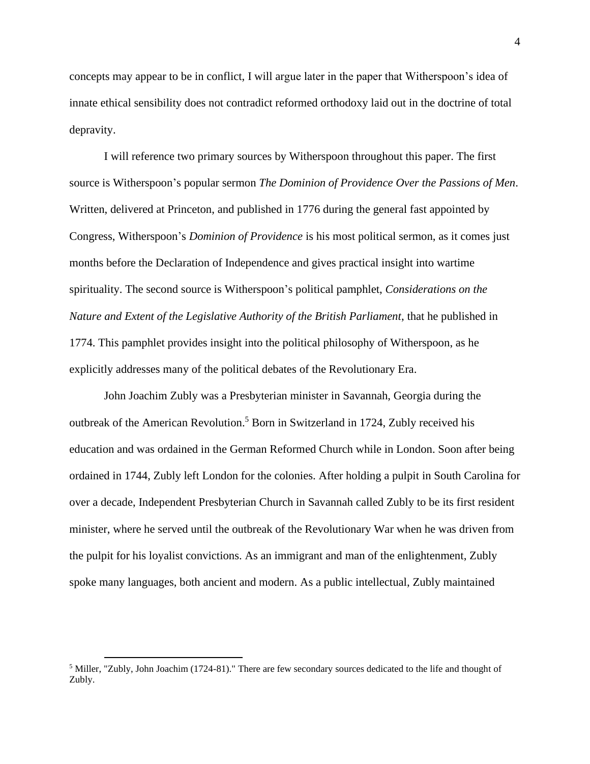concepts may appear to be in conflict, I will argue later in the paper that Witherspoon's idea of innate ethical sensibility does not contradict reformed orthodoxy laid out in the doctrine of total depravity.

I will reference two primary sources by Witherspoon throughout this paper. The first source is Witherspoon's popular sermon *The Dominion of Providence Over the Passions of Men*. Written, delivered at Princeton, and published in 1776 during the general fast appointed by Congress, Witherspoon's *Dominion of Providence* is his most political sermon, as it comes just months before the Declaration of Independence and gives practical insight into wartime spirituality. The second source is Witherspoon's political pamphlet, *Considerations on the Nature and Extent of the Legislative Authority of the British Parliament*, that he published in 1774. This pamphlet provides insight into the political philosophy of Witherspoon, as he explicitly addresses many of the political debates of the Revolutionary Era.

John Joachim Zubly was a Presbyterian minister in Savannah, Georgia during the outbreak of the American Revolution.<sup>5</sup> Born in Switzerland in 1724, Zubly received his education and was ordained in the German Reformed Church while in London. Soon after being ordained in 1744, Zubly left London for the colonies. After holding a pulpit in South Carolina for over a decade, Independent Presbyterian Church in Savannah called Zubly to be its first resident minister, where he served until the outbreak of the Revolutionary War when he was driven from the pulpit for his loyalist convictions. As an immigrant and man of the enlightenment, Zubly spoke many languages, both ancient and modern. As a public intellectual, Zubly maintained

<sup>5</sup> Miller, "Zubly, John Joachim (1724-81)." There are few secondary sources dedicated to the life and thought of Zubly.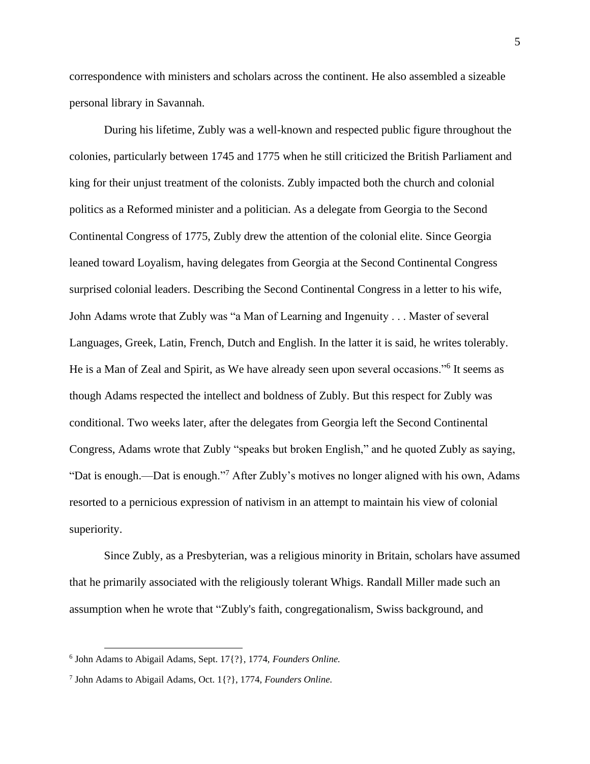correspondence with ministers and scholars across the continent. He also assembled a sizeable personal library in Savannah.

During his lifetime, Zubly was a well-known and respected public figure throughout the colonies, particularly between 1745 and 1775 when he still criticized the British Parliament and king for their unjust treatment of the colonists. Zubly impacted both the church and colonial politics as a Reformed minister and a politician. As a delegate from Georgia to the Second Continental Congress of 1775, Zubly drew the attention of the colonial elite. Since Georgia leaned toward Loyalism, having delegates from Georgia at the Second Continental Congress surprised colonial leaders. Describing the Second Continental Congress in a letter to his wife, John Adams wrote that Zubly was "a Man of Learning and Ingenuity . . . Master of several Languages, Greek, Latin, French, Dutch and English. In the latter it is said, he writes tolerably. He is a Man of Zeal and Spirit, as We have already seen upon several occasions."<sup>6</sup> It seems as though Adams respected the intellect and boldness of Zubly. But this respect for Zubly was conditional. Two weeks later, after the delegates from Georgia left the Second Continental Congress, Adams wrote that Zubly "speaks but broken English," and he quoted Zubly as saying, "Dat is enough.—Dat is enough."<sup>7</sup> After Zubly's motives no longer aligned with his own, Adams resorted to a pernicious expression of nativism in an attempt to maintain his view of colonial superiority.

Since Zubly, as a Presbyterian, was a religious minority in Britain, scholars have assumed that he primarily associated with the religiously tolerant Whigs. Randall Miller made such an assumption when he wrote that "Zubly's faith, congregationalism, Swiss background, and

<sup>6</sup> John Adams to Abigail Adams, Sept. 17{?}, 1774, *Founders Online.*

<sup>7</sup> John Adams to Abigail Adams, Oct. 1{?}, 1774, *Founders Online.*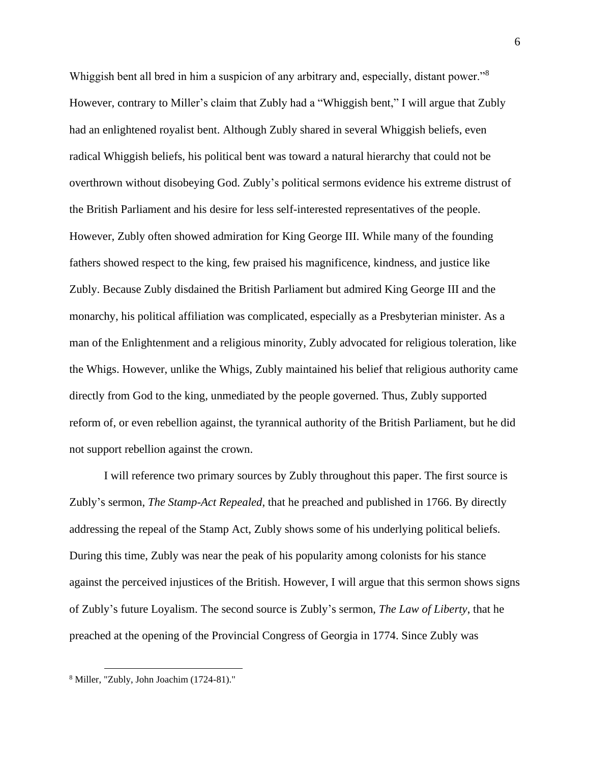Whiggish bent all bred in him a suspicion of any arbitrary and, especially, distant power."<sup>8</sup> However, contrary to Miller's claim that Zubly had a "Whiggish bent," I will argue that Zubly had an enlightened royalist bent. Although Zubly shared in several Whiggish beliefs, even radical Whiggish beliefs, his political bent was toward a natural hierarchy that could not be overthrown without disobeying God. Zubly's political sermons evidence his extreme distrust of the British Parliament and his desire for less self-interested representatives of the people. However, Zubly often showed admiration for King George III. While many of the founding fathers showed respect to the king, few praised his magnificence, kindness, and justice like Zubly. Because Zubly disdained the British Parliament but admired King George III and the monarchy, his political affiliation was complicated, especially as a Presbyterian minister. As a man of the Enlightenment and a religious minority, Zubly advocated for religious toleration, like the Whigs. However, unlike the Whigs, Zubly maintained his belief that religious authority came directly from God to the king, unmediated by the people governed. Thus, Zubly supported reform of, or even rebellion against, the tyrannical authority of the British Parliament, but he did not support rebellion against the crown.

I will reference two primary sources by Zubly throughout this paper. The first source is Zubly's sermon, *The Stamp-Act Repealed*, that he preached and published in 1766. By directly addressing the repeal of the Stamp Act, Zubly shows some of his underlying political beliefs. During this time, Zubly was near the peak of his popularity among colonists for his stance against the perceived injustices of the British. However, I will argue that this sermon shows signs of Zubly's future Loyalism. The second source is Zubly's sermon, *The Law of Liberty*, that he preached at the opening of the Provincial Congress of Georgia in 1774. Since Zubly was

<sup>8</sup> Miller, "Zubly, John Joachim (1724-81)."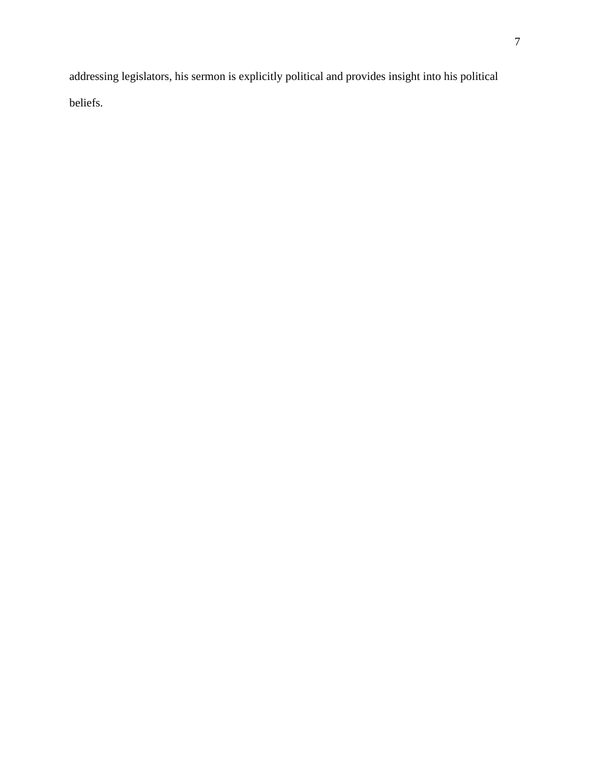addressing legislators, his sermon is explicitly political and provides insight into his political beliefs.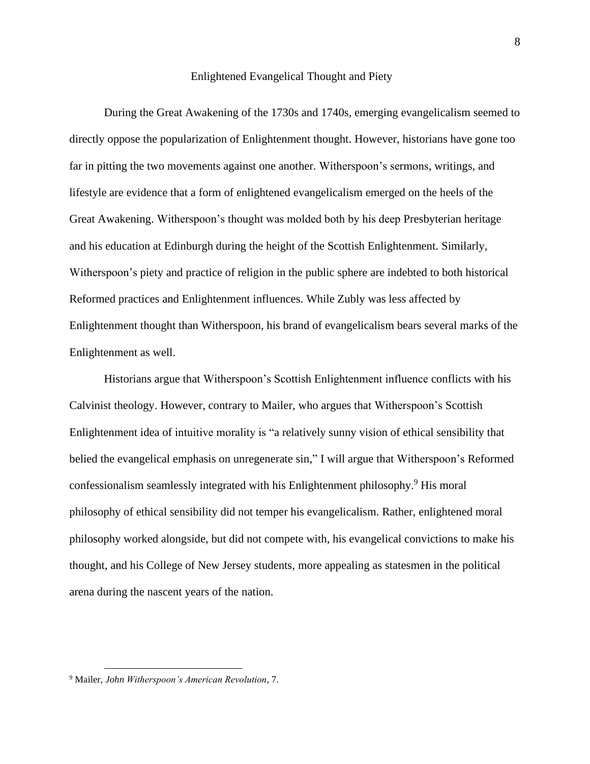#### Enlightened Evangelical Thought and Piety

During the Great Awakening of the 1730s and 1740s, emerging evangelicalism seemed to directly oppose the popularization of Enlightenment thought. However, historians have gone too far in pitting the two movements against one another. Witherspoon's sermons, writings, and lifestyle are evidence that a form of enlightened evangelicalism emerged on the heels of the Great Awakening. Witherspoon's thought was molded both by his deep Presbyterian heritage and his education at Edinburgh during the height of the Scottish Enlightenment. Similarly, Witherspoon's piety and practice of religion in the public sphere are indebted to both historical Reformed practices and Enlightenment influences. While Zubly was less affected by Enlightenment thought than Witherspoon, his brand of evangelicalism bears several marks of the Enlightenment as well.

Historians argue that Witherspoon's Scottish Enlightenment influence conflicts with his Calvinist theology. However, contrary to Mailer, who argues that Witherspoon's Scottish Enlightenment idea of intuitive morality is "a relatively sunny vision of ethical sensibility that belied the evangelical emphasis on unregenerate sin," I will argue that Witherspoon's Reformed confessionalism seamlessly integrated with his Enlightenment philosophy.<sup>9</sup> His moral philosophy of ethical sensibility did not temper his evangelicalism. Rather, enlightened moral philosophy worked alongside, but did not compete with, his evangelical convictions to make his thought, and his College of New Jersey students, more appealing as statesmen in the political arena during the nascent years of the nation.

<sup>9</sup> Mailer, *John Witherspoon's American Revolution*, 7.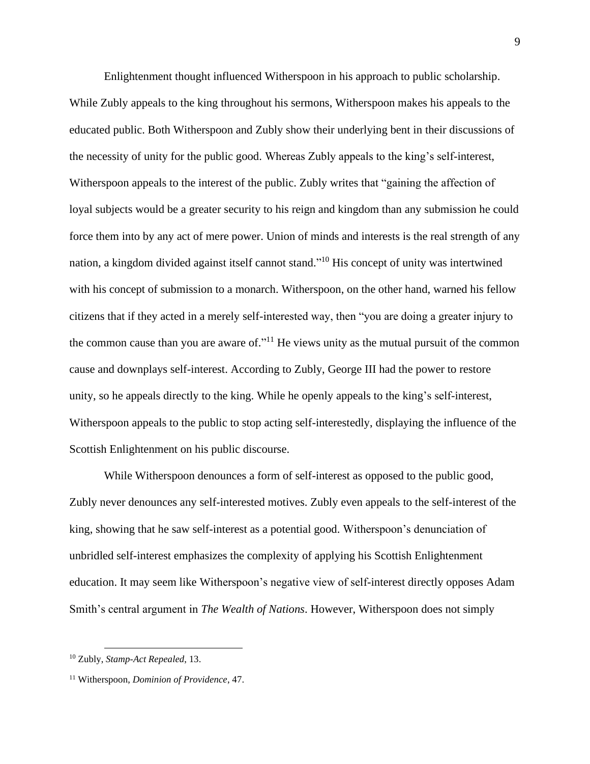Enlightenment thought influenced Witherspoon in his approach to public scholarship. While Zubly appeals to the king throughout his sermons, Witherspoon makes his appeals to the educated public. Both Witherspoon and Zubly show their underlying bent in their discussions of the necessity of unity for the public good. Whereas Zubly appeals to the king's self-interest, Witherspoon appeals to the interest of the public. Zubly writes that "gaining the affection of loyal subjects would be a greater security to his reign and kingdom than any submission he could force them into by any act of mere power. Union of minds and interests is the real strength of any nation, a kingdom divided against itself cannot stand."<sup>10</sup> His concept of unity was intertwined with his concept of submission to a monarch. Witherspoon, on the other hand, warned his fellow citizens that if they acted in a merely self-interested way, then "you are doing a greater injury to the common cause than you are aware of."<sup>11</sup> He views unity as the mutual pursuit of the common cause and downplays self-interest. According to Zubly, George III had the power to restore unity, so he appeals directly to the king. While he openly appeals to the king's self-interest, Witherspoon appeals to the public to stop acting self-interestedly, displaying the influence of the Scottish Enlightenment on his public discourse.

While Witherspoon denounces a form of self-interest as opposed to the public good, Zubly never denounces any self-interested motives. Zubly even appeals to the self-interest of the king, showing that he saw self-interest as a potential good. Witherspoon's denunciation of unbridled self-interest emphasizes the complexity of applying his Scottish Enlightenment education. It may seem like Witherspoon's negative view of self-interest directly opposes Adam Smith's central argument in *The Wealth of Nations*. However, Witherspoon does not simply

<sup>10</sup> Zubly, *Stamp-Act Repealed*, 13.

<sup>11</sup> Witherspoon, *Dominion of Providence*, 47.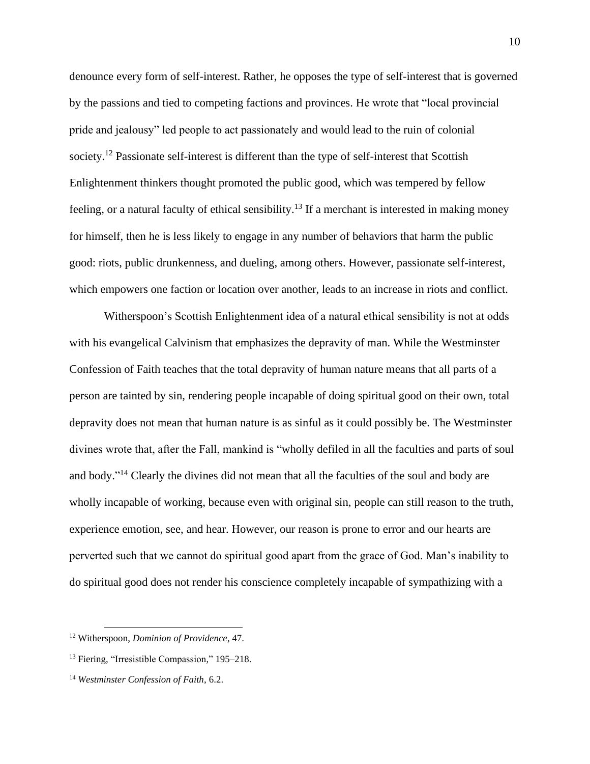denounce every form of self-interest. Rather, he opposes the type of self-interest that is governed by the passions and tied to competing factions and provinces. He wrote that "local provincial pride and jealousy" led people to act passionately and would lead to the ruin of colonial society.<sup>12</sup> Passionate self-interest is different than the type of self-interest that Scottish Enlightenment thinkers thought promoted the public good, which was tempered by fellow feeling, or a natural faculty of ethical sensibility.<sup>13</sup> If a merchant is interested in making money for himself, then he is less likely to engage in any number of behaviors that harm the public good: riots, public drunkenness, and dueling, among others. However, passionate self-interest, which empowers one faction or location over another, leads to an increase in riots and conflict.

Witherspoon's Scottish Enlightenment idea of a natural ethical sensibility is not at odds with his evangelical Calvinism that emphasizes the depravity of man. While the Westminster Confession of Faith teaches that the total depravity of human nature means that all parts of a person are tainted by sin, rendering people incapable of doing spiritual good on their own, total depravity does not mean that human nature is as sinful as it could possibly be. The Westminster divines wrote that, after the Fall, mankind is "wholly defiled in all the faculties and parts of soul and body."<sup>14</sup> Clearly the divines did not mean that all the faculties of the soul and body are wholly incapable of working, because even with original sin, people can still reason to the truth, experience emotion, see, and hear. However, our reason is prone to error and our hearts are perverted such that we cannot do spiritual good apart from the grace of God. Man's inability to do spiritual good does not render his conscience completely incapable of sympathizing with a

<sup>12</sup> Witherspoon, *Dominion of Providence*, 47.

<sup>&</sup>lt;sup>13</sup> Fiering, "Irresistible Compassion," 195–218.

<sup>14</sup> *Westminster Confession of Faith*, 6.2.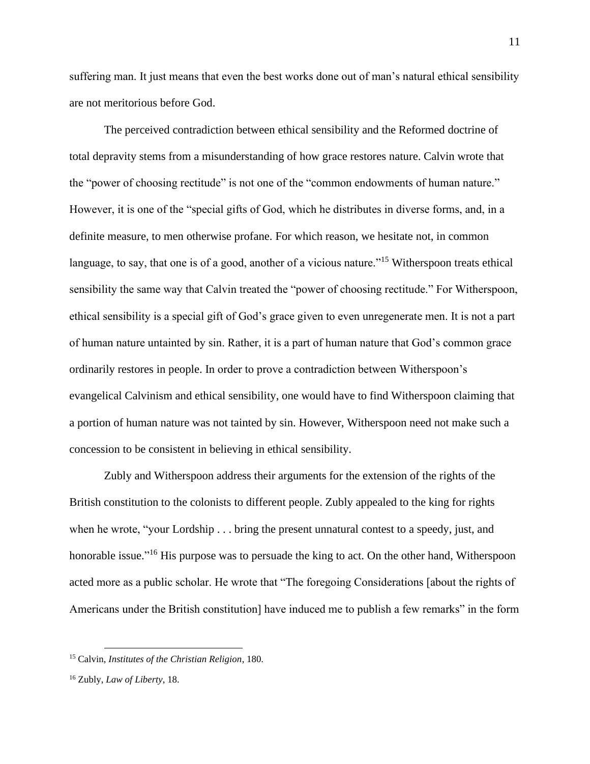suffering man. It just means that even the best works done out of man's natural ethical sensibility are not meritorious before God.

The perceived contradiction between ethical sensibility and the Reformed doctrine of total depravity stems from a misunderstanding of how grace restores nature. Calvin wrote that the "power of choosing rectitude" is not one of the "common endowments of human nature." However, it is one of the "special gifts of God, which he distributes in diverse forms, and, in a definite measure, to men otherwise profane. For which reason, we hesitate not, in common language, to say, that one is of a good, another of a vicious nature."<sup>15</sup> Witherspoon treats ethical sensibility the same way that Calvin treated the "power of choosing rectitude." For Witherspoon, ethical sensibility is a special gift of God's grace given to even unregenerate men. It is not a part of human nature untainted by sin. Rather, it is a part of human nature that God's common grace ordinarily restores in people. In order to prove a contradiction between Witherspoon's evangelical Calvinism and ethical sensibility, one would have to find Witherspoon claiming that a portion of human nature was not tainted by sin. However, Witherspoon need not make such a concession to be consistent in believing in ethical sensibility.

Zubly and Witherspoon address their arguments for the extension of the rights of the British constitution to the colonists to different people. Zubly appealed to the king for rights when he wrote, "your Lordship . . . bring the present unnatural contest to a speedy, just, and honorable issue."<sup>16</sup> His purpose was to persuade the king to act. On the other hand, Witherspoon acted more as a public scholar. He wrote that "The foregoing Considerations [about the rights of Americans under the British constitution] have induced me to publish a few remarks" in the form

<sup>15</sup> Calvin, *Institutes of the Christian Religion*, 180.

<sup>16</sup> Zubly, *Law of Liberty*, 18.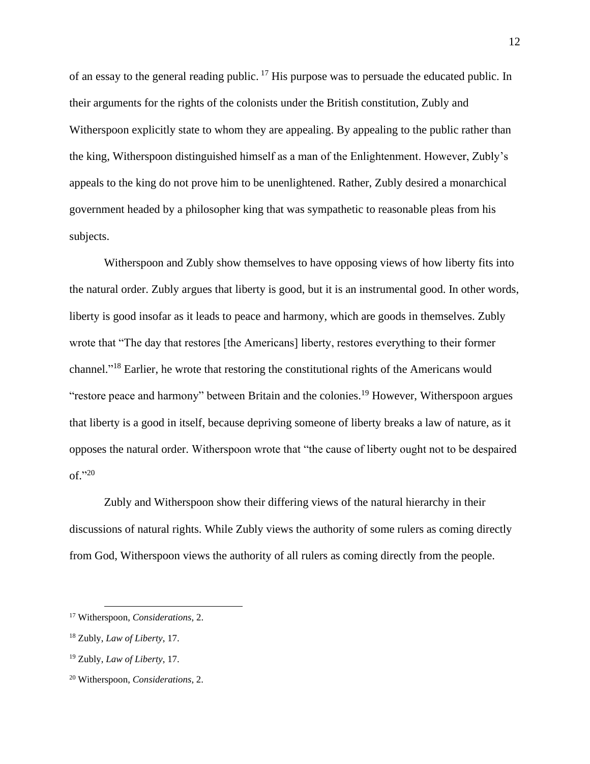of an essay to the general reading public.<sup>17</sup> His purpose was to persuade the educated public. In their arguments for the rights of the colonists under the British constitution, Zubly and Witherspoon explicitly state to whom they are appealing. By appealing to the public rather than the king, Witherspoon distinguished himself as a man of the Enlightenment. However, Zubly's appeals to the king do not prove him to be unenlightened. Rather, Zubly desired a monarchical government headed by a philosopher king that was sympathetic to reasonable pleas from his subjects.

Witherspoon and Zubly show themselves to have opposing views of how liberty fits into the natural order. Zubly argues that liberty is good, but it is an instrumental good. In other words, liberty is good insofar as it leads to peace and harmony, which are goods in themselves. Zubly wrote that "The day that restores [the Americans] liberty, restores everything to their former channel."<sup>18</sup> Earlier, he wrote that restoring the constitutional rights of the Americans would "restore peace and harmony" between Britain and the colonies.<sup>19</sup> However, Witherspoon argues that liberty is a good in itself, because depriving someone of liberty breaks a law of nature, as it opposes the natural order. Witherspoon wrote that "the cause of liberty ought not to be despaired of." 20

Zubly and Witherspoon show their differing views of the natural hierarchy in their discussions of natural rights. While Zubly views the authority of some rulers as coming directly from God, Witherspoon views the authority of all rulers as coming directly from the people.

<sup>17</sup> Witherspoon, *Considerations*, 2.

<sup>18</sup> Zubly, *Law of Liberty*, 17.

<sup>19</sup> Zubly, *Law of Liberty*, 17.

<sup>20</sup> Witherspoon, *Considerations*, 2.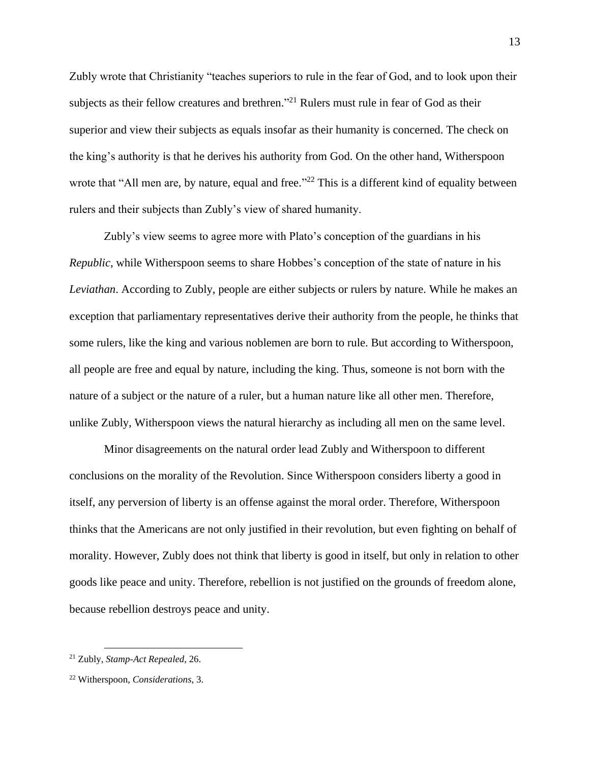Zubly wrote that Christianity "teaches superiors to rule in the fear of God, and to look upon their subjects as their fellow creatures and brethren."<sup>21</sup> Rulers must rule in fear of God as their superior and view their subjects as equals insofar as their humanity is concerned. The check on the king's authority is that he derives his authority from God. On the other hand, Witherspoon wrote that "All men are, by nature, equal and free."<sup>22</sup> This is a different kind of equality between rulers and their subjects than Zubly's view of shared humanity.

Zubly's view seems to agree more with Plato's conception of the guardians in his *Republic*, while Witherspoon seems to share Hobbes's conception of the state of nature in his *Leviathan*. According to Zubly, people are either subjects or rulers by nature. While he makes an exception that parliamentary representatives derive their authority from the people, he thinks that some rulers, like the king and various noblemen are born to rule. But according to Witherspoon, all people are free and equal by nature, including the king. Thus, someone is not born with the nature of a subject or the nature of a ruler, but a human nature like all other men. Therefore, unlike Zubly, Witherspoon views the natural hierarchy as including all men on the same level.

Minor disagreements on the natural order lead Zubly and Witherspoon to different conclusions on the morality of the Revolution. Since Witherspoon considers liberty a good in itself, any perversion of liberty is an offense against the moral order. Therefore, Witherspoon thinks that the Americans are not only justified in their revolution, but even fighting on behalf of morality. However, Zubly does not think that liberty is good in itself, but only in relation to other goods like peace and unity. Therefore, rebellion is not justified on the grounds of freedom alone, because rebellion destroys peace and unity.

<sup>21</sup> Zubly, *Stamp-Act Repealed*, 26.

<sup>22</sup> Witherspoon, *Considerations*, 3.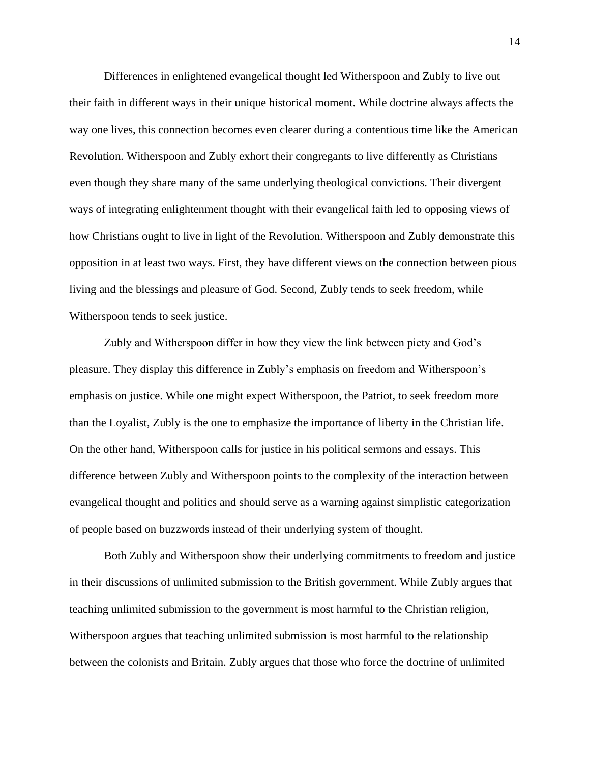Differences in enlightened evangelical thought led Witherspoon and Zubly to live out their faith in different ways in their unique historical moment. While doctrine always affects the way one lives, this connection becomes even clearer during a contentious time like the American Revolution. Witherspoon and Zubly exhort their congregants to live differently as Christians even though they share many of the same underlying theological convictions. Their divergent ways of integrating enlightenment thought with their evangelical faith led to opposing views of how Christians ought to live in light of the Revolution. Witherspoon and Zubly demonstrate this opposition in at least two ways. First, they have different views on the connection between pious living and the blessings and pleasure of God. Second, Zubly tends to seek freedom, while Witherspoon tends to seek justice.

Zubly and Witherspoon differ in how they view the link between piety and God's pleasure. They display this difference in Zubly's emphasis on freedom and Witherspoon's emphasis on justice. While one might expect Witherspoon, the Patriot, to seek freedom more than the Loyalist, Zubly is the one to emphasize the importance of liberty in the Christian life. On the other hand, Witherspoon calls for justice in his political sermons and essays. This difference between Zubly and Witherspoon points to the complexity of the interaction between evangelical thought and politics and should serve as a warning against simplistic categorization of people based on buzzwords instead of their underlying system of thought.

Both Zubly and Witherspoon show their underlying commitments to freedom and justice in their discussions of unlimited submission to the British government. While Zubly argues that teaching unlimited submission to the government is most harmful to the Christian religion, Witherspoon argues that teaching unlimited submission is most harmful to the relationship between the colonists and Britain. Zubly argues that those who force the doctrine of unlimited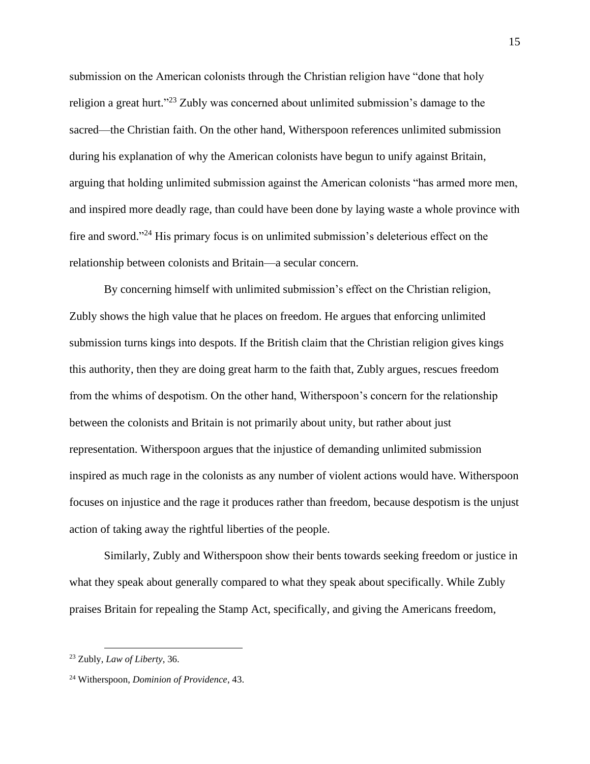submission on the American colonists through the Christian religion have "done that holy religion a great hurt."<sup>23</sup> Zubly was concerned about unlimited submission's damage to the sacred—the Christian faith. On the other hand, Witherspoon references unlimited submission during his explanation of why the American colonists have begun to unify against Britain, arguing that holding unlimited submission against the American colonists "has armed more men, and inspired more deadly rage, than could have been done by laying waste a whole province with fire and sword."<sup>24</sup> His primary focus is on unlimited submission's deleterious effect on the relationship between colonists and Britain—a secular concern.

By concerning himself with unlimited submission's effect on the Christian religion, Zubly shows the high value that he places on freedom. He argues that enforcing unlimited submission turns kings into despots. If the British claim that the Christian religion gives kings this authority, then they are doing great harm to the faith that, Zubly argues, rescues freedom from the whims of despotism. On the other hand, Witherspoon's concern for the relationship between the colonists and Britain is not primarily about unity, but rather about just representation. Witherspoon argues that the injustice of demanding unlimited submission inspired as much rage in the colonists as any number of violent actions would have. Witherspoon focuses on injustice and the rage it produces rather than freedom, because despotism is the unjust action of taking away the rightful liberties of the people.

Similarly, Zubly and Witherspoon show their bents towards seeking freedom or justice in what they speak about generally compared to what they speak about specifically. While Zubly praises Britain for repealing the Stamp Act, specifically, and giving the Americans freedom,

<sup>23</sup> Zubly, *Law of Liberty*, 36.

<sup>24</sup> Witherspoon, *Dominion of Providence*, 43.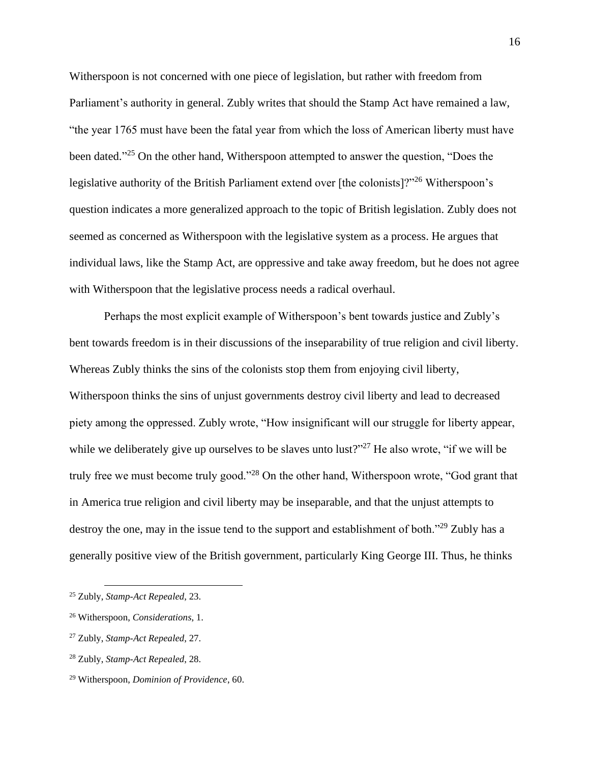Witherspoon is not concerned with one piece of legislation, but rather with freedom from Parliament's authority in general. Zubly writes that should the Stamp Act have remained a law, "the year 1765 must have been the fatal year from which the loss of American liberty must have been dated."<sup>25</sup> On the other hand, Witherspoon attempted to answer the question, "Does the legislative authority of the British Parliament extend over [the colonists]?"<sup>26</sup> Witherspoon's question indicates a more generalized approach to the topic of British legislation. Zubly does not seemed as concerned as Witherspoon with the legislative system as a process. He argues that individual laws, like the Stamp Act, are oppressive and take away freedom, but he does not agree with Witherspoon that the legislative process needs a radical overhaul.

Perhaps the most explicit example of Witherspoon's bent towards justice and Zubly's bent towards freedom is in their discussions of the inseparability of true religion and civil liberty. Whereas Zubly thinks the sins of the colonists stop them from enjoying civil liberty, Witherspoon thinks the sins of unjust governments destroy civil liberty and lead to decreased piety among the oppressed. Zubly wrote, "How insignificant will our struggle for liberty appear, while we deliberately give up ourselves to be slaves unto lust?"<sup>27</sup> He also wrote, "if we will be truly free we must become truly good."<sup>28</sup> On the other hand, Witherspoon wrote, "God grant that in America true religion and civil liberty may be inseparable, and that the unjust attempts to destroy the one, may in the issue tend to the support and establishment of both."<sup>29</sup> Zubly has a generally positive view of the British government, particularly King George III. Thus, he thinks

<sup>25</sup> Zubly, *Stamp-Act Repealed*, 23.

<sup>26</sup> Witherspoon, *Considerations*, 1.

<sup>27</sup> Zubly, *Stamp-Act Repealed*, 27.

<sup>28</sup> Zubly, *Stamp-Act Repealed*, 28.

<sup>29</sup> Witherspoon, *Dominion of Providence*, 60.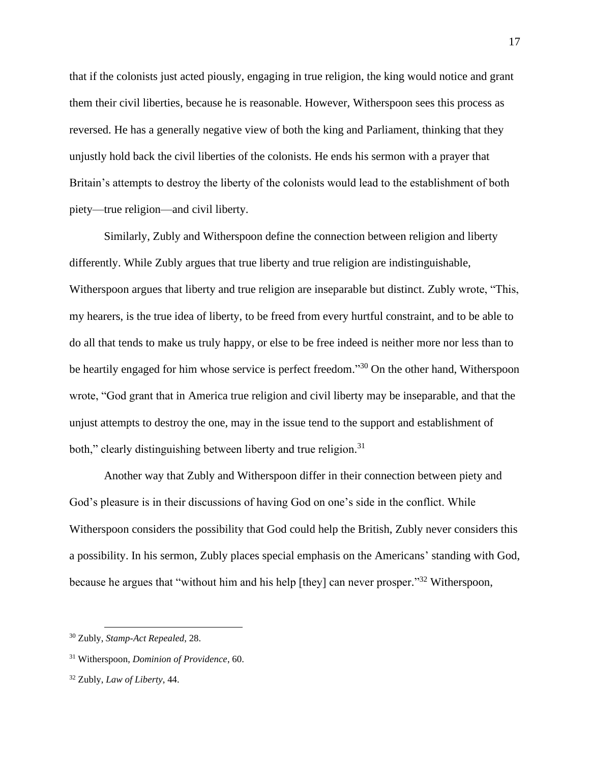that if the colonists just acted piously, engaging in true religion, the king would notice and grant them their civil liberties, because he is reasonable. However, Witherspoon sees this process as reversed. He has a generally negative view of both the king and Parliament, thinking that they unjustly hold back the civil liberties of the colonists. He ends his sermon with a prayer that Britain's attempts to destroy the liberty of the colonists would lead to the establishment of both piety—true religion—and civil liberty.

Similarly, Zubly and Witherspoon define the connection between religion and liberty differently. While Zubly argues that true liberty and true religion are indistinguishable, Witherspoon argues that liberty and true religion are inseparable but distinct. Zubly wrote, "This, my hearers, is the true idea of liberty, to be freed from every hurtful constraint, and to be able to do all that tends to make us truly happy, or else to be free indeed is neither more nor less than to be heartily engaged for him whose service is perfect freedom."<sup>30</sup> On the other hand, Witherspoon wrote, "God grant that in America true religion and civil liberty may be inseparable, and that the unjust attempts to destroy the one, may in the issue tend to the support and establishment of both," clearly distinguishing between liberty and true religion.<sup>31</sup>

Another way that Zubly and Witherspoon differ in their connection between piety and God's pleasure is in their discussions of having God on one's side in the conflict. While Witherspoon considers the possibility that God could help the British, Zubly never considers this a possibility. In his sermon, Zubly places special emphasis on the Americans' standing with God, because he argues that "without him and his help [they] can never prosper."<sup>32</sup> Witherspoon,

<sup>30</sup> Zubly, *Stamp-Act Repealed*, 28.

<sup>31</sup> Witherspoon, *Dominion of Providence*, 60.

<sup>32</sup> Zubly, *Law of Liberty*, 44.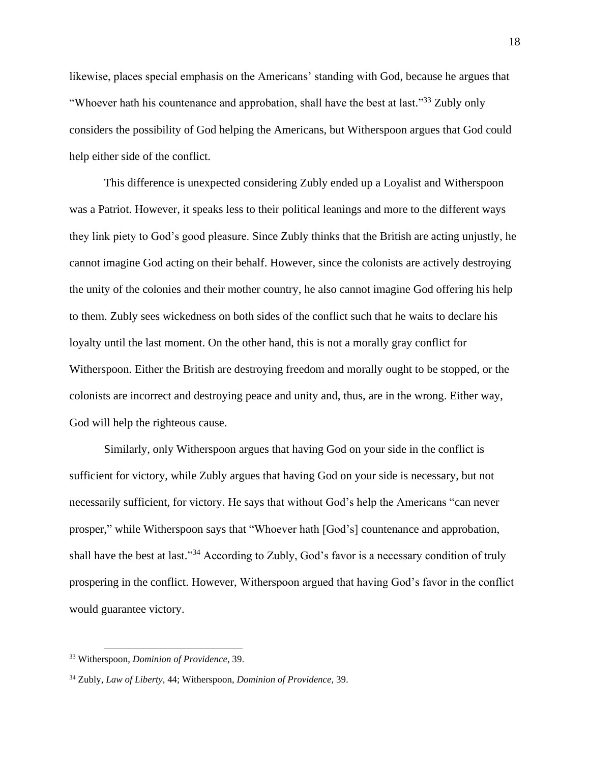likewise, places special emphasis on the Americans' standing with God, because he argues that "Whoever hath his countenance and approbation, shall have the best at last."<sup>33</sup> Zubly only considers the possibility of God helping the Americans, but Witherspoon argues that God could help either side of the conflict.

This difference is unexpected considering Zubly ended up a Loyalist and Witherspoon was a Patriot. However, it speaks less to their political leanings and more to the different ways they link piety to God's good pleasure. Since Zubly thinks that the British are acting unjustly, he cannot imagine God acting on their behalf. However, since the colonists are actively destroying the unity of the colonies and their mother country, he also cannot imagine God offering his help to them. Zubly sees wickedness on both sides of the conflict such that he waits to declare his loyalty until the last moment. On the other hand, this is not a morally gray conflict for Witherspoon. Either the British are destroying freedom and morally ought to be stopped, or the colonists are incorrect and destroying peace and unity and, thus, are in the wrong. Either way, God will help the righteous cause.

Similarly, only Witherspoon argues that having God on your side in the conflict is sufficient for victory, while Zubly argues that having God on your side is necessary, but not necessarily sufficient, for victory. He says that without God's help the Americans "can never prosper," while Witherspoon says that "Whoever hath [God's] countenance and approbation, shall have the best at last."<sup>34</sup> According to Zubly, God's favor is a necessary condition of truly prospering in the conflict. However, Witherspoon argued that having God's favor in the conflict would guarantee victory.

<sup>33</sup> Witherspoon, *Dominion of Providence*, 39.

<sup>34</sup> Zubly, *Law of Liberty*, 44; Witherspoon, *Dominion of Providence*, 39.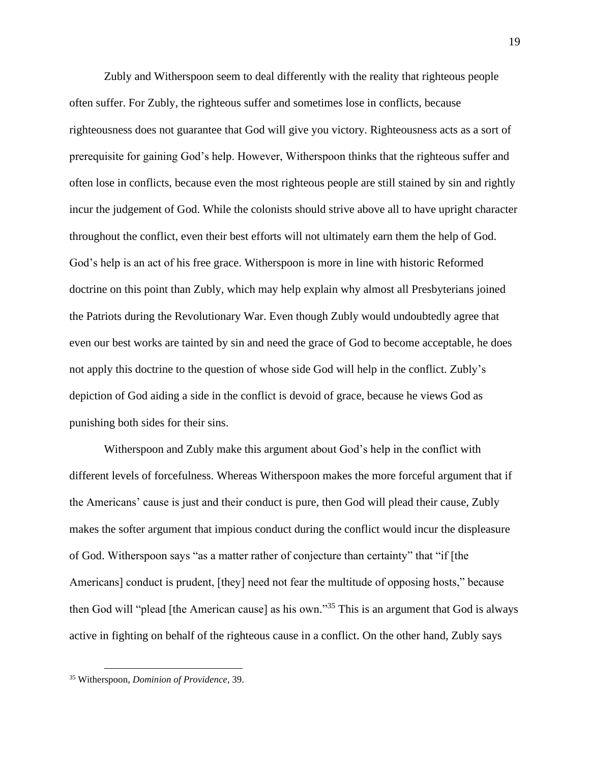Zubly and Witherspoon seem to deal differently with the reality that righteous people often suffer. For Zubly, the righteous suffer and sometimes lose in conflicts, because righteousness does not guarantee that God will give you victory. Righteousness acts as a sort of prerequisite for gaining God's help. However, Witherspoon thinks that the righteous suffer and often lose in conflicts, because even the most righteous people are still stained by sin and rightly incur the judgement of God. While the colonists should strive above all to have upright character throughout the conflict, even their best efforts will not ultimately earn them the help of God. God's help is an act of his free grace. Witherspoon is more in line with historic Reformed doctrine on this point than Zubly, which may help explain why almost all Presbyterians joined the Patriots during the Revolutionary War. Even though Zubly would undoubtedly agree that even our best works are tainted by sin and need the grace of God to become acceptable, he does not apply this doctrine to the question of whose side God will help in the conflict. Zubly's depiction of God aiding a side in the conflict is devoid of grace, because he views God as punishing both sides for their sins.

Witherspoon and Zubly make this argument about God's help in the conflict with different levels of forcefulness. Whereas Witherspoon makes the more forceful argument that if the Americans' cause is just and their conduct is pure, then God will plead their cause, Zubly makes the softer argument that impious conduct during the conflict would incur the displeasure of God. Witherspoon says "as a matter rather of conjecture than certainty" that "if [the Americans] conduct is prudent, [they] need not fear the multitude of opposing hosts," because then God will "plead [the American cause] as his own."<sup>35</sup> This is an argument that God is always active in fighting on behalf of the righteous cause in a conflict. On the other hand, Zubly says

<sup>35</sup> Witherspoon, *Dominion of Providence*, 39.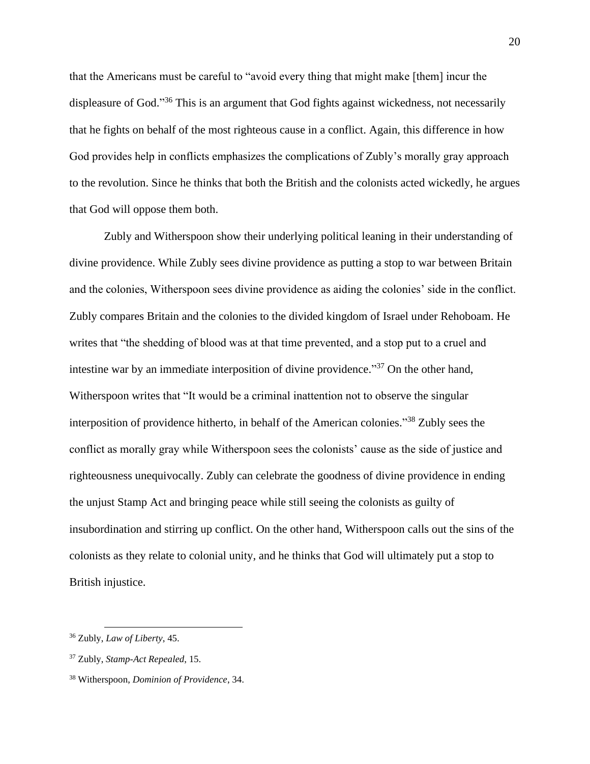that the Americans must be careful to "avoid every thing that might make [them] incur the displeasure of God."<sup>36</sup> This is an argument that God fights against wickedness, not necessarily that he fights on behalf of the most righteous cause in a conflict. Again, this difference in how God provides help in conflicts emphasizes the complications of Zubly's morally gray approach to the revolution. Since he thinks that both the British and the colonists acted wickedly, he argues that God will oppose them both.

Zubly and Witherspoon show their underlying political leaning in their understanding of divine providence. While Zubly sees divine providence as putting a stop to war between Britain and the colonies, Witherspoon sees divine providence as aiding the colonies' side in the conflict. Zubly compares Britain and the colonies to the divided kingdom of Israel under Rehoboam. He writes that "the shedding of blood was at that time prevented, and a stop put to a cruel and intestine war by an immediate interposition of divine providence."<sup>37</sup> On the other hand, Witherspoon writes that "It would be a criminal inattention not to observe the singular interposition of providence hitherto, in behalf of the American colonies." <sup>38</sup> Zubly sees the conflict as morally gray while Witherspoon sees the colonists' cause as the side of justice and righteousness unequivocally. Zubly can celebrate the goodness of divine providence in ending the unjust Stamp Act and bringing peace while still seeing the colonists as guilty of insubordination and stirring up conflict. On the other hand, Witherspoon calls out the sins of the colonists as they relate to colonial unity, and he thinks that God will ultimately put a stop to British injustice.

<sup>36</sup> Zubly, *Law of Liberty*, 45.

<sup>37</sup> Zubly, *Stamp-Act Repealed*, 15.

<sup>38</sup> Witherspoon, *Dominion of Providence*, 34.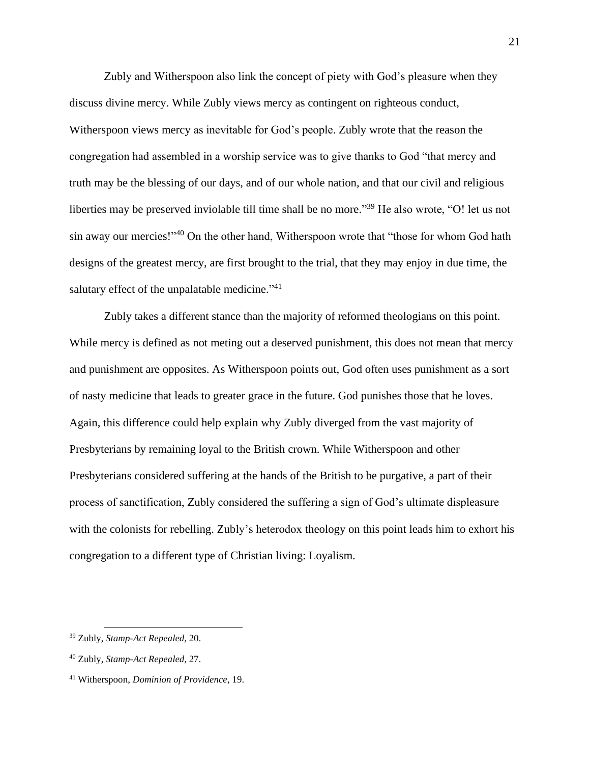Zubly and Witherspoon also link the concept of piety with God's pleasure when they discuss divine mercy. While Zubly views mercy as contingent on righteous conduct, Witherspoon views mercy as inevitable for God's people. Zubly wrote that the reason the congregation had assembled in a worship service was to give thanks to God "that mercy and truth may be the blessing of our days, and of our whole nation, and that our civil and religious liberties may be preserved inviolable till time shall be no more."<sup>39</sup> He also wrote, "O! let us not sin away our mercies!"<sup>40</sup> On the other hand, Witherspoon wrote that "those for whom God hath designs of the greatest mercy, are first brought to the trial, that they may enjoy in due time, the salutary effect of the unpalatable medicine."<sup>41</sup>

Zubly takes a different stance than the majority of reformed theologians on this point. While mercy is defined as not meting out a deserved punishment, this does not mean that mercy and punishment are opposites. As Witherspoon points out, God often uses punishment as a sort of nasty medicine that leads to greater grace in the future. God punishes those that he loves. Again, this difference could help explain why Zubly diverged from the vast majority of Presbyterians by remaining loyal to the British crown. While Witherspoon and other Presbyterians considered suffering at the hands of the British to be purgative, a part of their process of sanctification, Zubly considered the suffering a sign of God's ultimate displeasure with the colonists for rebelling. Zubly's heterodox theology on this point leads him to exhort his congregation to a different type of Christian living: Loyalism.

<sup>39</sup> Zubly, *Stamp-Act Repealed*, 20.

<sup>40</sup> Zubly, *Stamp-Act Repealed*, 27.

<sup>41</sup> Witherspoon, *Dominion of Providence*, 19.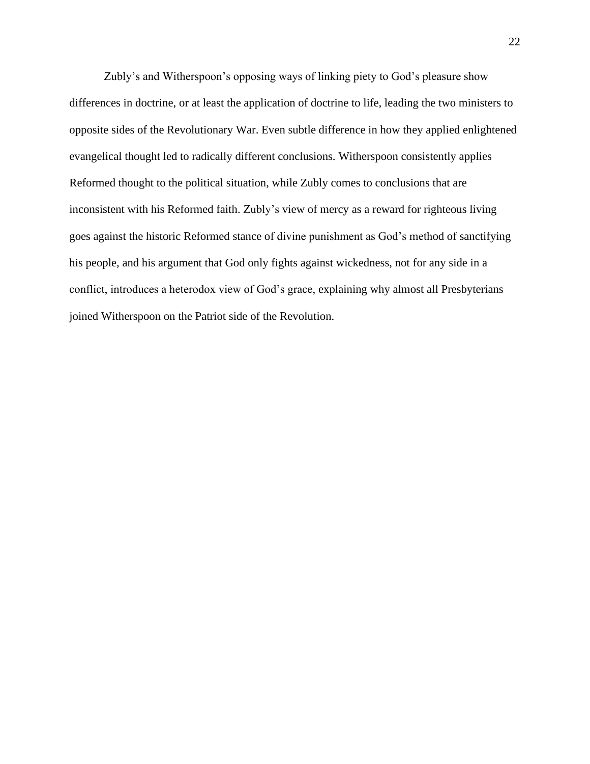Zubly's and Witherspoon's opposing ways of linking piety to God's pleasure show differences in doctrine, or at least the application of doctrine to life, leading the two ministers to opposite sides of the Revolutionary War. Even subtle difference in how they applied enlightened evangelical thought led to radically different conclusions. Witherspoon consistently applies Reformed thought to the political situation, while Zubly comes to conclusions that are inconsistent with his Reformed faith. Zubly's view of mercy as a reward for righteous living goes against the historic Reformed stance of divine punishment as God's method of sanctifying his people, and his argument that God only fights against wickedness, not for any side in a conflict, introduces a heterodox view of God's grace, explaining why almost all Presbyterians joined Witherspoon on the Patriot side of the Revolution.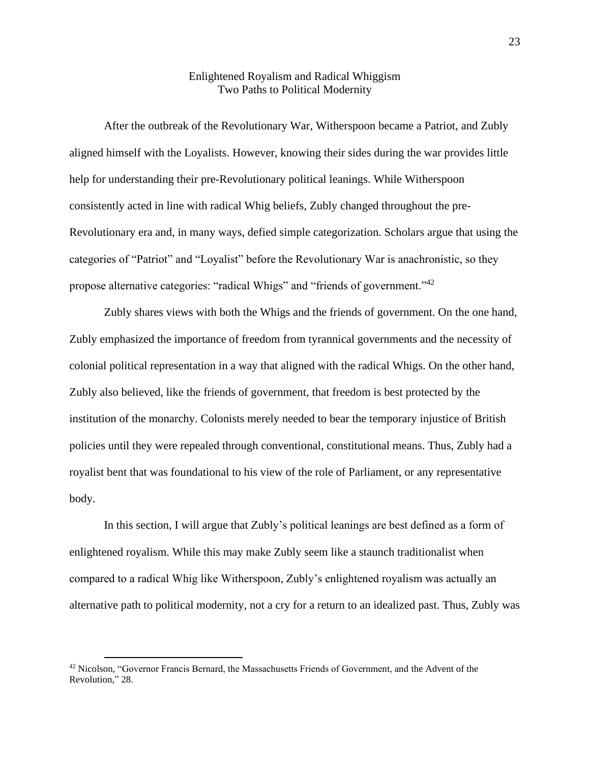## Enlightened Royalism and Radical Whiggism Two Paths to Political Modernity

After the outbreak of the Revolutionary War, Witherspoon became a Patriot, and Zubly aligned himself with the Loyalists. However, knowing their sides during the war provides little help for understanding their pre-Revolutionary political leanings. While Witherspoon consistently acted in line with radical Whig beliefs, Zubly changed throughout the pre-Revolutionary era and, in many ways, defied simple categorization. Scholars argue that using the categories of "Patriot" and "Loyalist" before the Revolutionary War is anachronistic, so they propose alternative categories: "radical Whigs" and "friends of government."<sup>42</sup>

Zubly shares views with both the Whigs and the friends of government. On the one hand, Zubly emphasized the importance of freedom from tyrannical governments and the necessity of colonial political representation in a way that aligned with the radical Whigs. On the other hand, Zubly also believed, like the friends of government, that freedom is best protected by the institution of the monarchy. Colonists merely needed to bear the temporary injustice of British policies until they were repealed through conventional, constitutional means. Thus, Zubly had a royalist bent that was foundational to his view of the role of Parliament, or any representative body.

In this section, I will argue that Zubly's political leanings are best defined as a form of enlightened royalism. While this may make Zubly seem like a staunch traditionalist when compared to a radical Whig like Witherspoon, Zubly's enlightened royalism was actually an alternative path to political modernity, not a cry for a return to an idealized past. Thus, Zubly was

<sup>&</sup>lt;sup>42</sup> Nicolson, "Governor Francis Bernard, the Massachusetts Friends of Government, and the Advent of the Revolution," 28.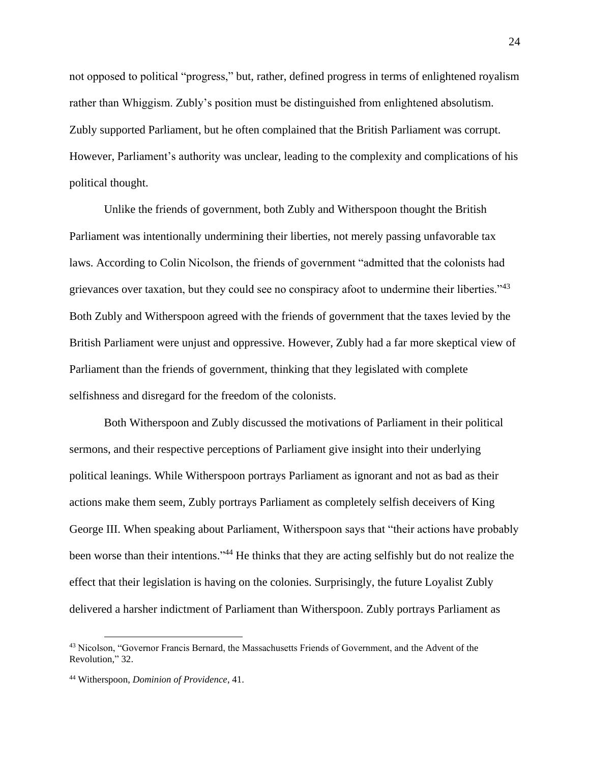not opposed to political "progress," but, rather, defined progress in terms of enlightened royalism rather than Whiggism. Zubly's position must be distinguished from enlightened absolutism. Zubly supported Parliament, but he often complained that the British Parliament was corrupt. However, Parliament's authority was unclear, leading to the complexity and complications of his political thought.

Unlike the friends of government, both Zubly and Witherspoon thought the British Parliament was intentionally undermining their liberties, not merely passing unfavorable tax laws. According to Colin Nicolson, the friends of government "admitted that the colonists had grievances over taxation, but they could see no conspiracy afoot to undermine their liberties."<sup>43</sup> Both Zubly and Witherspoon agreed with the friends of government that the taxes levied by the British Parliament were unjust and oppressive. However, Zubly had a far more skeptical view of Parliament than the friends of government, thinking that they legislated with complete selfishness and disregard for the freedom of the colonists.

Both Witherspoon and Zubly discussed the motivations of Parliament in their political sermons, and their respective perceptions of Parliament give insight into their underlying political leanings. While Witherspoon portrays Parliament as ignorant and not as bad as their actions make them seem, Zubly portrays Parliament as completely selfish deceivers of King George III. When speaking about Parliament, Witherspoon says that "their actions have probably been worse than their intentions."<sup>44</sup> He thinks that they are acting selfishly but do not realize the effect that their legislation is having on the colonies. Surprisingly, the future Loyalist Zubly delivered a harsher indictment of Parliament than Witherspoon. Zubly portrays Parliament as

<sup>&</sup>lt;sup>43</sup> Nicolson, "Governor Francis Bernard, the Massachusetts Friends of Government, and the Advent of the Revolution," 32.

<sup>44</sup> Witherspoon, *Dominion of Providence*, 41.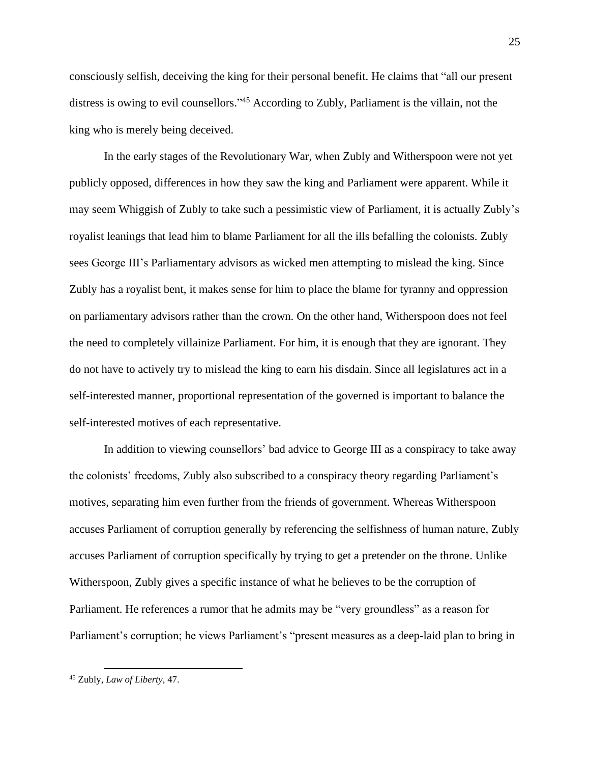consciously selfish, deceiving the king for their personal benefit. He claims that "all our present distress is owing to evil counsellors."<sup>45</sup> According to Zubly, Parliament is the villain, not the king who is merely being deceived.

In the early stages of the Revolutionary War, when Zubly and Witherspoon were not yet publicly opposed, differences in how they saw the king and Parliament were apparent. While it may seem Whiggish of Zubly to take such a pessimistic view of Parliament, it is actually Zubly's royalist leanings that lead him to blame Parliament for all the ills befalling the colonists. Zubly sees George III's Parliamentary advisors as wicked men attempting to mislead the king. Since Zubly has a royalist bent, it makes sense for him to place the blame for tyranny and oppression on parliamentary advisors rather than the crown. On the other hand, Witherspoon does not feel the need to completely villainize Parliament. For him, it is enough that they are ignorant. They do not have to actively try to mislead the king to earn his disdain. Since all legislatures act in a self-interested manner, proportional representation of the governed is important to balance the self-interested motives of each representative.

In addition to viewing counsellors' bad advice to George III as a conspiracy to take away the colonists' freedoms, Zubly also subscribed to a conspiracy theory regarding Parliament's motives, separating him even further from the friends of government. Whereas Witherspoon accuses Parliament of corruption generally by referencing the selfishness of human nature, Zubly accuses Parliament of corruption specifically by trying to get a pretender on the throne. Unlike Witherspoon, Zubly gives a specific instance of what he believes to be the corruption of Parliament. He references a rumor that he admits may be "very groundless" as a reason for Parliament's corruption; he views Parliament's "present measures as a deep-laid plan to bring in

<sup>45</sup> Zubly, *Law of Liberty*, 47.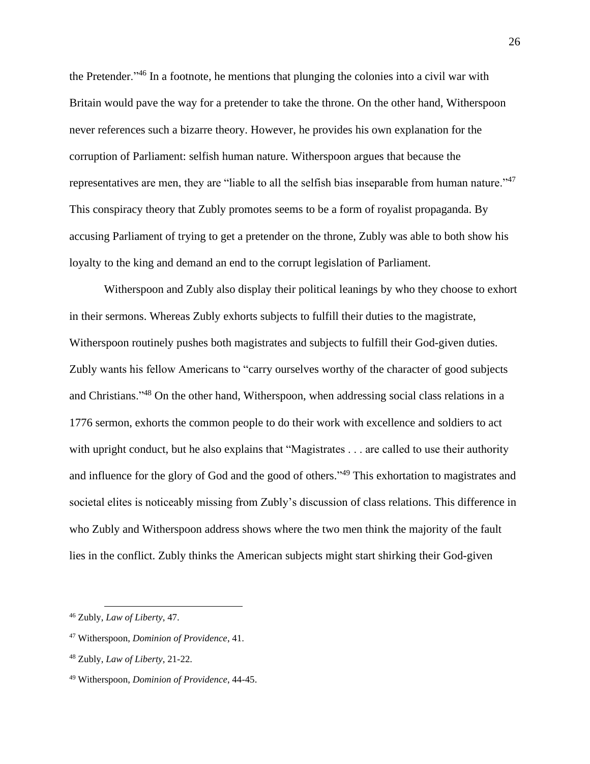the Pretender."<sup>46</sup> In a footnote, he mentions that plunging the colonies into a civil war with Britain would pave the way for a pretender to take the throne. On the other hand, Witherspoon never references such a bizarre theory. However, he provides his own explanation for the corruption of Parliament: selfish human nature. Witherspoon argues that because the representatives are men, they are "liable to all the selfish bias inseparable from human nature."<sup>47</sup> This conspiracy theory that Zubly promotes seems to be a form of royalist propaganda. By accusing Parliament of trying to get a pretender on the throne, Zubly was able to both show his loyalty to the king and demand an end to the corrupt legislation of Parliament.

Witherspoon and Zubly also display their political leanings by who they choose to exhort in their sermons. Whereas Zubly exhorts subjects to fulfill their duties to the magistrate, Witherspoon routinely pushes both magistrates and subjects to fulfill their God-given duties. Zubly wants his fellow Americans to "carry ourselves worthy of the character of good subjects and Christians."<sup>48</sup> On the other hand, Witherspoon, when addressing social class relations in a 1776 sermon, exhorts the common people to do their work with excellence and soldiers to act with upright conduct, but he also explains that "Magistrates . . . are called to use their authority and influence for the glory of God and the good of others."<sup>49</sup> This exhortation to magistrates and societal elites is noticeably missing from Zubly's discussion of class relations. This difference in who Zubly and Witherspoon address shows where the two men think the majority of the fault lies in the conflict. Zubly thinks the American subjects might start shirking their God-given

<sup>46</sup> Zubly, *Law of Liberty*, 47.

<sup>47</sup> Witherspoon, *Dominion of Providence*, 41.

<sup>48</sup> Zubly, *Law of Liberty*, 21-22.

<sup>49</sup> Witherspoon, *Dominion of Providence*, 44-45.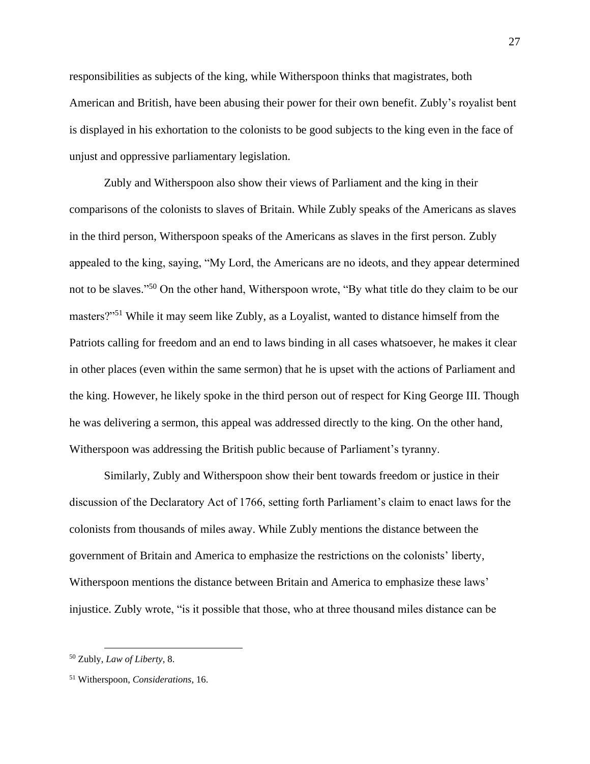responsibilities as subjects of the king, while Witherspoon thinks that magistrates, both American and British, have been abusing their power for their own benefit. Zubly's royalist bent is displayed in his exhortation to the colonists to be good subjects to the king even in the face of unjust and oppressive parliamentary legislation.

Zubly and Witherspoon also show their views of Parliament and the king in their comparisons of the colonists to slaves of Britain. While Zubly speaks of the Americans as slaves in the third person, Witherspoon speaks of the Americans as slaves in the first person. Zubly appealed to the king, saying, "My Lord, the Americans are no ideots, and they appear determined not to be slaves."<sup>50</sup> On the other hand, Witherspoon wrote, "By what title do they claim to be our masters?"<sup>51</sup> While it may seem like Zubly, as a Loyalist, wanted to distance himself from the Patriots calling for freedom and an end to laws binding in all cases whatsoever, he makes it clear in other places (even within the same sermon) that he is upset with the actions of Parliament and the king. However, he likely spoke in the third person out of respect for King George III. Though he was delivering a sermon, this appeal was addressed directly to the king. On the other hand, Witherspoon was addressing the British public because of Parliament's tyranny.

Similarly, Zubly and Witherspoon show their bent towards freedom or justice in their discussion of the Declaratory Act of 1766, setting forth Parliament's claim to enact laws for the colonists from thousands of miles away. While Zubly mentions the distance between the government of Britain and America to emphasize the restrictions on the colonists' liberty, Witherspoon mentions the distance between Britain and America to emphasize these laws' injustice. Zubly wrote, "is it possible that those, who at three thousand miles distance can be

<sup>50</sup> Zubly, *Law of Liberty*, 8.

<sup>51</sup> Witherspoon, *Considerations*, 16.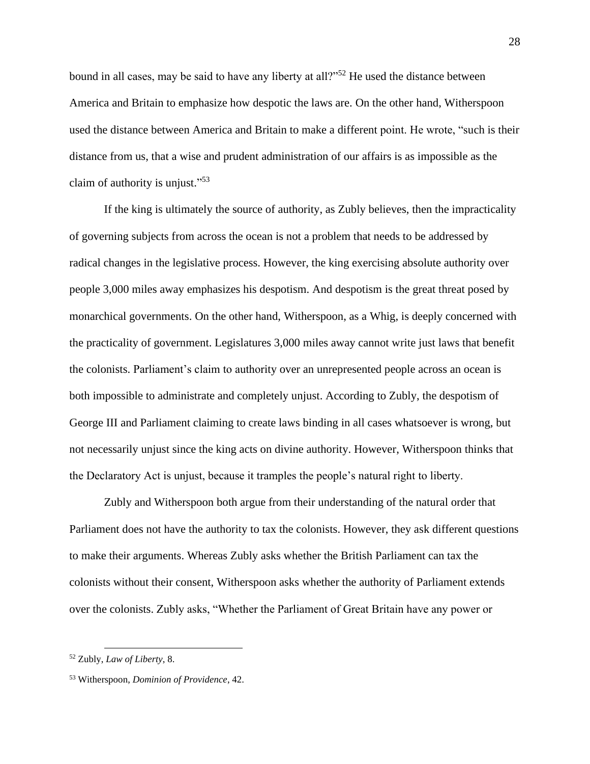bound in all cases, may be said to have any liberty at all?"<sup>52</sup> He used the distance between America and Britain to emphasize how despotic the laws are. On the other hand, Witherspoon used the distance between America and Britain to make a different point. He wrote, "such is their distance from us, that a wise and prudent administration of our affairs is as impossible as the claim of authority is unjust."<sup>53</sup>

If the king is ultimately the source of authority, as Zubly believes, then the impracticality of governing subjects from across the ocean is not a problem that needs to be addressed by radical changes in the legislative process. However, the king exercising absolute authority over people 3,000 miles away emphasizes his despotism. And despotism is the great threat posed by monarchical governments. On the other hand, Witherspoon, as a Whig, is deeply concerned with the practicality of government. Legislatures 3,000 miles away cannot write just laws that benefit the colonists. Parliament's claim to authority over an unrepresented people across an ocean is both impossible to administrate and completely unjust. According to Zubly, the despotism of George III and Parliament claiming to create laws binding in all cases whatsoever is wrong, but not necessarily unjust since the king acts on divine authority. However, Witherspoon thinks that the Declaratory Act is unjust, because it tramples the people's natural right to liberty.

Zubly and Witherspoon both argue from their understanding of the natural order that Parliament does not have the authority to tax the colonists. However, they ask different questions to make their arguments. Whereas Zubly asks whether the British Parliament can tax the colonists without their consent, Witherspoon asks whether the authority of Parliament extends over the colonists. Zubly asks, "Whether the Parliament of Great Britain have any power or

<sup>52</sup> Zubly, *Law of Liberty*, 8.

<sup>53</sup> Witherspoon, *Dominion of Providence*, 42.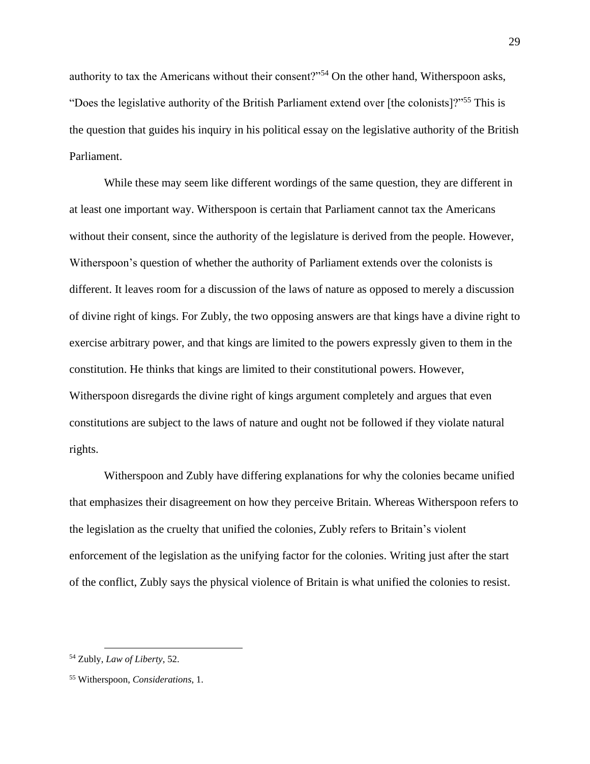authority to tax the Americans without their consent?"<sup>54</sup> On the other hand, Witherspoon asks, "Does the legislative authority of the British Parliament extend over [the colonists]?"<sup>55</sup> This is the question that guides his inquiry in his political essay on the legislative authority of the British Parliament.

While these may seem like different wordings of the same question, they are different in at least one important way. Witherspoon is certain that Parliament cannot tax the Americans without their consent, since the authority of the legislature is derived from the people. However, Witherspoon's question of whether the authority of Parliament extends over the colonists is different. It leaves room for a discussion of the laws of nature as opposed to merely a discussion of divine right of kings. For Zubly, the two opposing answers are that kings have a divine right to exercise arbitrary power, and that kings are limited to the powers expressly given to them in the constitution. He thinks that kings are limited to their constitutional powers. However, Witherspoon disregards the divine right of kings argument completely and argues that even constitutions are subject to the laws of nature and ought not be followed if they violate natural rights.

Witherspoon and Zubly have differing explanations for why the colonies became unified that emphasizes their disagreement on how they perceive Britain. Whereas Witherspoon refers to the legislation as the cruelty that unified the colonies, Zubly refers to Britain's violent enforcement of the legislation as the unifying factor for the colonies. Writing just after the start of the conflict, Zubly says the physical violence of Britain is what unified the colonies to resist.

<sup>54</sup> Zubly, *Law of Liberty*, 52.

<sup>55</sup> Witherspoon, *Considerations*, 1.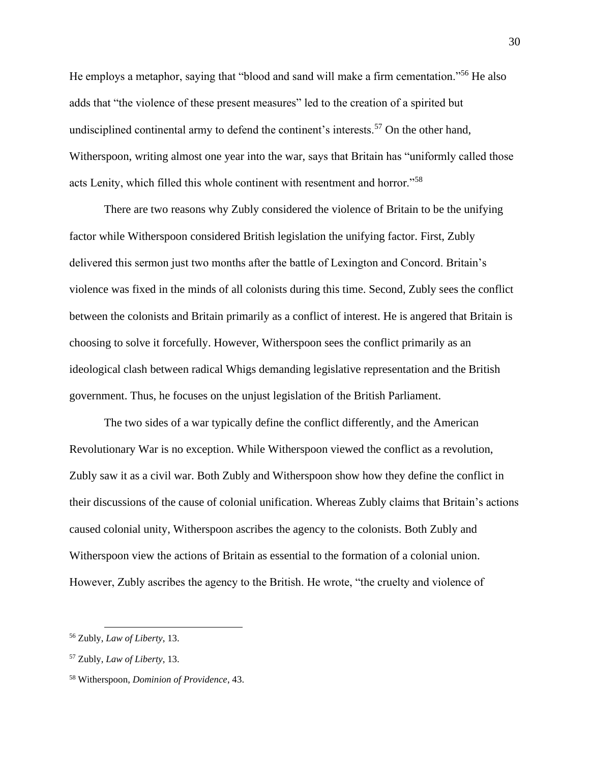He employs a metaphor, saying that "blood and sand will make a firm cementation."<sup>56</sup> He also adds that "the violence of these present measures" led to the creation of a spirited but undisciplined continental army to defend the continent's interests.<sup>57</sup> On the other hand, Witherspoon, writing almost one year into the war, says that Britain has "uniformly called those acts Lenity, which filled this whole continent with resentment and horror."<sup>58</sup>

There are two reasons why Zubly considered the violence of Britain to be the unifying factor while Witherspoon considered British legislation the unifying factor. First, Zubly delivered this sermon just two months after the battle of Lexington and Concord. Britain's violence was fixed in the minds of all colonists during this time. Second, Zubly sees the conflict between the colonists and Britain primarily as a conflict of interest. He is angered that Britain is choosing to solve it forcefully. However, Witherspoon sees the conflict primarily as an ideological clash between radical Whigs demanding legislative representation and the British government. Thus, he focuses on the unjust legislation of the British Parliament.

The two sides of a war typically define the conflict differently, and the American Revolutionary War is no exception. While Witherspoon viewed the conflict as a revolution, Zubly saw it as a civil war. Both Zubly and Witherspoon show how they define the conflict in their discussions of the cause of colonial unification. Whereas Zubly claims that Britain's actions caused colonial unity, Witherspoon ascribes the agency to the colonists. Both Zubly and Witherspoon view the actions of Britain as essential to the formation of a colonial union. However, Zubly ascribes the agency to the British. He wrote, "the cruelty and violence of

<sup>56</sup> Zubly, *Law of Liberty*, 13.

<sup>57</sup> Zubly, *Law of Liberty*, 13.

<sup>58</sup> Witherspoon, *Dominion of Providence*, 43.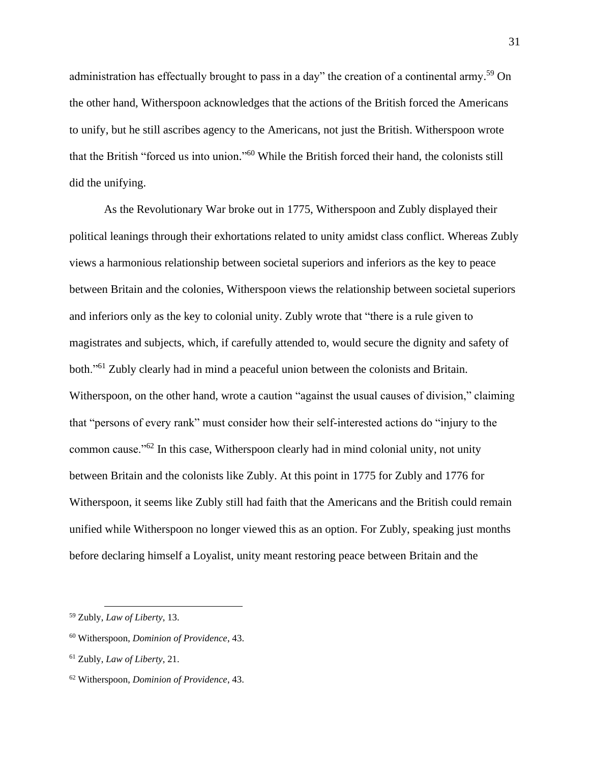administration has effectually brought to pass in a day" the creation of a continental army.<sup>59</sup> On the other hand, Witherspoon acknowledges that the actions of the British forced the Americans to unify, but he still ascribes agency to the Americans, not just the British. Witherspoon wrote that the British "forced us into union." <sup>60</sup> While the British forced their hand, the colonists still did the unifying.

As the Revolutionary War broke out in 1775, Witherspoon and Zubly displayed their political leanings through their exhortations related to unity amidst class conflict. Whereas Zubly views a harmonious relationship between societal superiors and inferiors as the key to peace between Britain and the colonies, Witherspoon views the relationship between societal superiors and inferiors only as the key to colonial unity. Zubly wrote that "there is a rule given to magistrates and subjects, which, if carefully attended to, would secure the dignity and safety of both."<sup>61</sup> Zubly clearly had in mind a peaceful union between the colonists and Britain. Witherspoon, on the other hand, wrote a caution "against the usual causes of division," claiming that "persons of every rank" must consider how their self-interested actions do "injury to the common cause."<sup>62</sup> In this case, Witherspoon clearly had in mind colonial unity, not unity between Britain and the colonists like Zubly. At this point in 1775 for Zubly and 1776 for Witherspoon, it seems like Zubly still had faith that the Americans and the British could remain unified while Witherspoon no longer viewed this as an option. For Zubly, speaking just months before declaring himself a Loyalist, unity meant restoring peace between Britain and the

<sup>59</sup> Zubly, *Law of Liberty*, 13.

<sup>60</sup> Witherspoon, *Dominion of Providence*, 43.

<sup>61</sup> Zubly, *Law of Liberty*, 21.

<sup>62</sup> Witherspoon, *Dominion of Providence*, 43.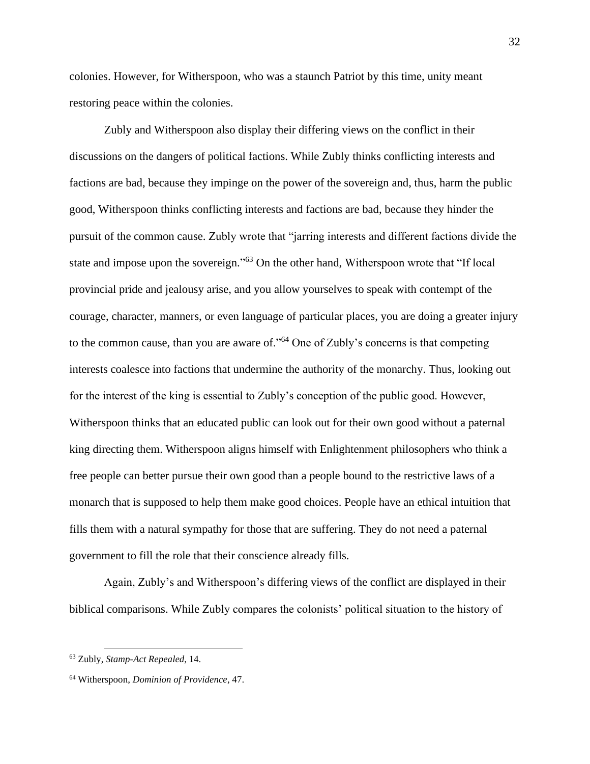colonies. However, for Witherspoon, who was a staunch Patriot by this time, unity meant restoring peace within the colonies.

Zubly and Witherspoon also display their differing views on the conflict in their discussions on the dangers of political factions. While Zubly thinks conflicting interests and factions are bad, because they impinge on the power of the sovereign and, thus, harm the public good, Witherspoon thinks conflicting interests and factions are bad, because they hinder the pursuit of the common cause. Zubly wrote that "jarring interests and different factions divide the state and impose upon the sovereign."<sup>63</sup> On the other hand, Witherspoon wrote that "If local provincial pride and jealousy arise, and you allow yourselves to speak with contempt of the courage, character, manners, or even language of particular places, you are doing a greater injury to the common cause, than you are aware of."<sup>64</sup> One of Zubly's concerns is that competing interests coalesce into factions that undermine the authority of the monarchy. Thus, looking out for the interest of the king is essential to Zubly's conception of the public good. However, Witherspoon thinks that an educated public can look out for their own good without a paternal king directing them. Witherspoon aligns himself with Enlightenment philosophers who think a free people can better pursue their own good than a people bound to the restrictive laws of a monarch that is supposed to help them make good choices. People have an ethical intuition that fills them with a natural sympathy for those that are suffering. They do not need a paternal government to fill the role that their conscience already fills.

Again, Zubly's and Witherspoon's differing views of the conflict are displayed in their biblical comparisons. While Zubly compares the colonists' political situation to the history of

<sup>63</sup> Zubly, *Stamp-Act Repealed*, 14.

<sup>64</sup> Witherspoon, *Dominion of Providence*, 47.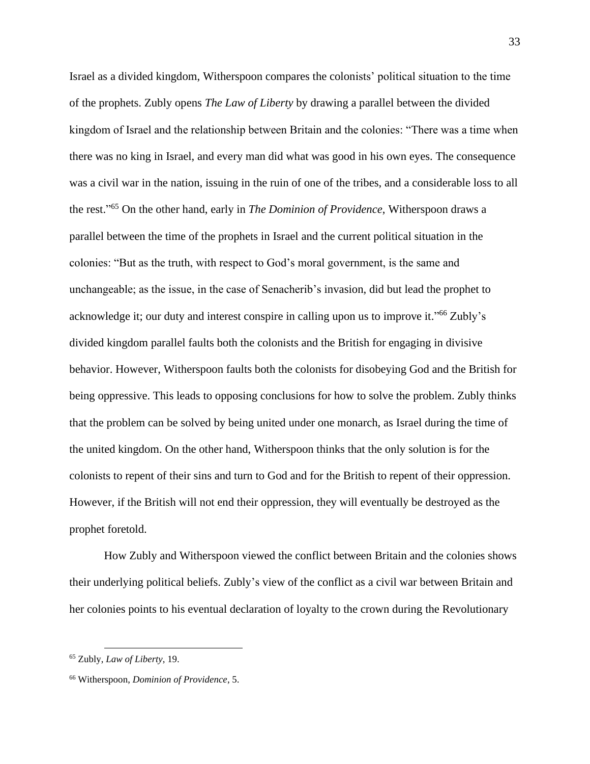Israel as a divided kingdom, Witherspoon compares the colonists' political situation to the time of the prophets. Zubly opens *The Law of Liberty* by drawing a parallel between the divided kingdom of Israel and the relationship between Britain and the colonies: "There was a time when there was no king in Israel, and every man did what was good in his own eyes. The consequence was a civil war in the nation, issuing in the ruin of one of the tribes, and a considerable loss to all the rest." <sup>65</sup> On the other hand, early in *The Dominion of Providence*, Witherspoon draws a parallel between the time of the prophets in Israel and the current political situation in the colonies: "But as the truth, with respect to God's moral government, is the same and unchangeable; as the issue, in the case of Senacherib's invasion, did but lead the prophet to acknowledge it; our duty and interest conspire in calling upon us to improve it."<sup>66</sup> Zubly's divided kingdom parallel faults both the colonists and the British for engaging in divisive behavior. However, Witherspoon faults both the colonists for disobeying God and the British for being oppressive. This leads to opposing conclusions for how to solve the problem. Zubly thinks that the problem can be solved by being united under one monarch, as Israel during the time of the united kingdom. On the other hand, Witherspoon thinks that the only solution is for the colonists to repent of their sins and turn to God and for the British to repent of their oppression. However, if the British will not end their oppression, they will eventually be destroyed as the prophet foretold.

How Zubly and Witherspoon viewed the conflict between Britain and the colonies shows their underlying political beliefs. Zubly's view of the conflict as a civil war between Britain and her colonies points to his eventual declaration of loyalty to the crown during the Revolutionary

<sup>65</sup> Zubly, *Law of Liberty*, 19.

<sup>66</sup> Witherspoon, *Dominion of Providence*, 5.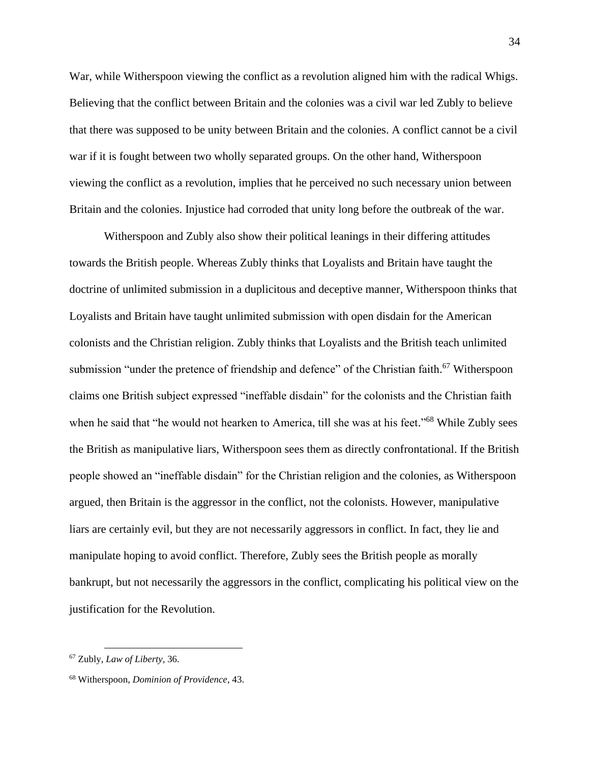War, while Witherspoon viewing the conflict as a revolution aligned him with the radical Whigs. Believing that the conflict between Britain and the colonies was a civil war led Zubly to believe that there was supposed to be unity between Britain and the colonies. A conflict cannot be a civil war if it is fought between two wholly separated groups. On the other hand, Witherspoon viewing the conflict as a revolution, implies that he perceived no such necessary union between Britain and the colonies. Injustice had corroded that unity long before the outbreak of the war.

Witherspoon and Zubly also show their political leanings in their differing attitudes towards the British people. Whereas Zubly thinks that Loyalists and Britain have taught the doctrine of unlimited submission in a duplicitous and deceptive manner, Witherspoon thinks that Loyalists and Britain have taught unlimited submission with open disdain for the American colonists and the Christian religion. Zubly thinks that Loyalists and the British teach unlimited submission "under the pretence of friendship and defence" of the Christian faith.<sup>67</sup> Witherspoon claims one British subject expressed "ineffable disdain" for the colonists and the Christian faith when he said that "he would not hearken to America, till she was at his feet."<sup>68</sup> While Zubly sees the British as manipulative liars, Witherspoon sees them as directly confrontational. If the British people showed an "ineffable disdain" for the Christian religion and the colonies, as Witherspoon argued, then Britain is the aggressor in the conflict, not the colonists. However, manipulative liars are certainly evil, but they are not necessarily aggressors in conflict. In fact, they lie and manipulate hoping to avoid conflict. Therefore, Zubly sees the British people as morally bankrupt, but not necessarily the aggressors in the conflict, complicating his political view on the justification for the Revolution.

<sup>67</sup> Zubly, *Law of Liberty*, 36.

<sup>68</sup> Witherspoon, *Dominion of Providence*, 43.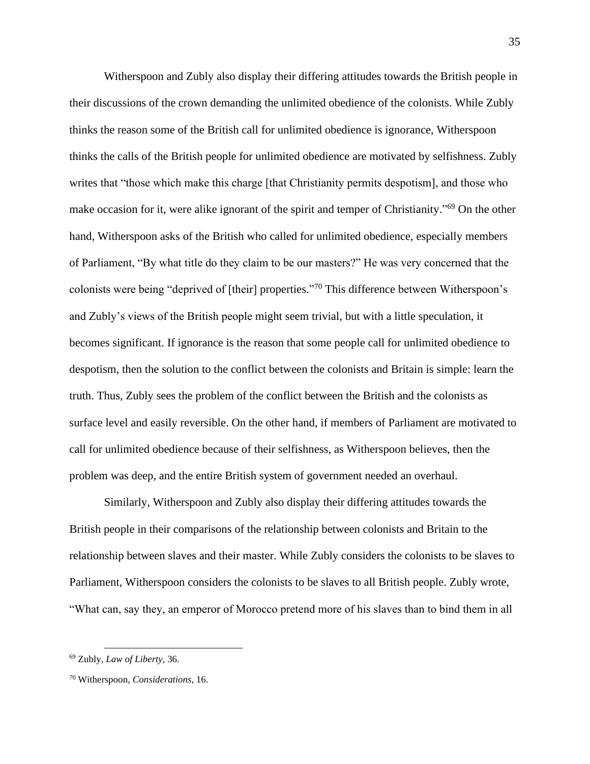Witherspoon and Zubly also display their differing attitudes towards the British people in their discussions of the crown demanding the unlimited obedience of the colonists. While Zubly thinks the reason some of the British call for unlimited obedience is ignorance, Witherspoon thinks the calls of the British people for unlimited obedience are motivated by selfishness. Zubly writes that "those which make this charge [that Christianity permits despotism], and those who make occasion for it, were alike ignorant of the spirit and temper of Christianity."<sup>69</sup> On the other hand, Witherspoon asks of the British who called for unlimited obedience, especially members of Parliament, "By what title do they claim to be our masters?" He was very concerned that the colonists were being "deprived of [their] properties." <sup>70</sup> This difference between Witherspoon's and Zubly's views of the British people might seem trivial, but with a little speculation, it becomes significant. If ignorance is the reason that some people call for unlimited obedience to despotism, then the solution to the conflict between the colonists and Britain is simple: learn the truth. Thus, Zubly sees the problem of the conflict between the British and the colonists as surface level and easily reversible. On the other hand, if members of Parliament are motivated to call for unlimited obedience because of their selfishness, as Witherspoon believes, then the problem was deep, and the entire British system of government needed an overhaul.

Similarly, Witherspoon and Zubly also display their differing attitudes towards the British people in their comparisons of the relationship between colonists and Britain to the relationship between slaves and their master. While Zubly considers the colonists to be slaves to Parliament, Witherspoon considers the colonists to be slaves to all British people. Zubly wrote, "What can, say they, an emperor of Morocco pretend more of his slaves than to bind them in all

<sup>69</sup> Zubly, *Law of Liberty*, 36.

<sup>70</sup> Witherspoon, *Considerations*, 16.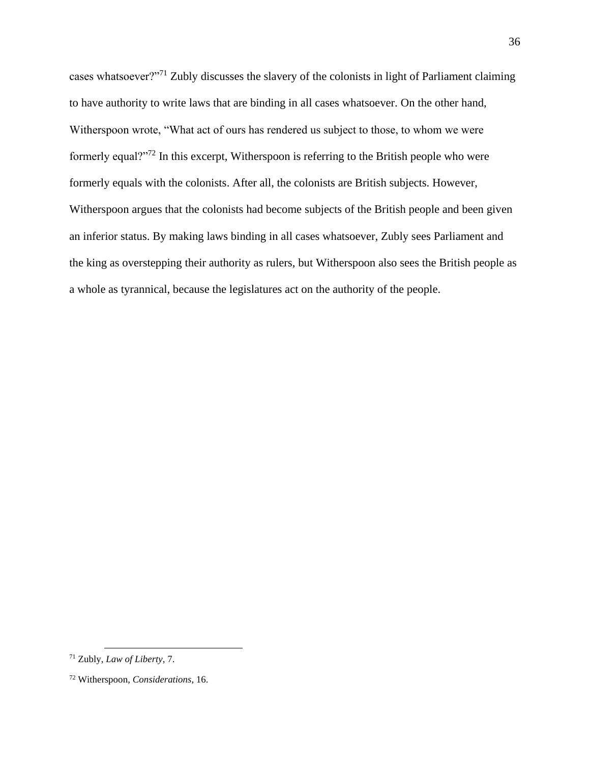cases whatsoever?"<sup>71</sup> Zubly discusses the slavery of the colonists in light of Parliament claiming to have authority to write laws that are binding in all cases whatsoever. On the other hand, Witherspoon wrote, "What act of ours has rendered us subject to those, to whom we were formerly equal?"<sup>72</sup> In this excerpt, Witherspoon is referring to the British people who were formerly equals with the colonists. After all, the colonists are British subjects. However, Witherspoon argues that the colonists had become subjects of the British people and been given an inferior status. By making laws binding in all cases whatsoever, Zubly sees Parliament and the king as overstepping their authority as rulers, but Witherspoon also sees the British people as a whole as tyrannical, because the legislatures act on the authority of the people.

<sup>71</sup> Zubly, *Law of Liberty*, 7.

<sup>72</sup> Witherspoon, *Considerations*, 16.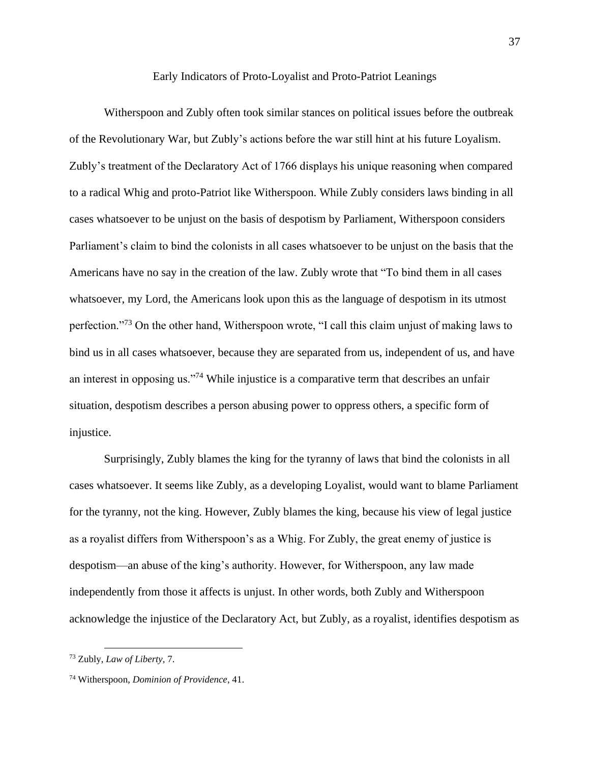Early Indicators of Proto-Loyalist and Proto-Patriot Leanings

Witherspoon and Zubly often took similar stances on political issues before the outbreak of the Revolutionary War, but Zubly's actions before the war still hint at his future Loyalism. Zubly's treatment of the Declaratory Act of 1766 displays his unique reasoning when compared to a radical Whig and proto-Patriot like Witherspoon. While Zubly considers laws binding in all cases whatsoever to be unjust on the basis of despotism by Parliament, Witherspoon considers Parliament's claim to bind the colonists in all cases whatsoever to be unjust on the basis that the Americans have no say in the creation of the law. Zubly wrote that "To bind them in all cases whatsoever, my Lord, the Americans look upon this as the language of despotism in its utmost perfection."<sup>73</sup> On the other hand, Witherspoon wrote, "I call this claim unjust of making laws to bind us in all cases whatsoever, because they are separated from us, independent of us, and have an interest in opposing us."<sup>74</sup> While injustice is a comparative term that describes an unfair situation, despotism describes a person abusing power to oppress others, a specific form of injustice.

Surprisingly, Zubly blames the king for the tyranny of laws that bind the colonists in all cases whatsoever. It seems like Zubly, as a developing Loyalist, would want to blame Parliament for the tyranny, not the king. However, Zubly blames the king, because his view of legal justice as a royalist differs from Witherspoon's as a Whig. For Zubly, the great enemy of justice is despotism—an abuse of the king's authority. However, for Witherspoon, any law made independently from those it affects is unjust. In other words, both Zubly and Witherspoon acknowledge the injustice of the Declaratory Act, but Zubly, as a royalist, identifies despotism as

<sup>73</sup> Zubly, *Law of Liberty*, 7.

<sup>74</sup> Witherspoon, *Dominion of Providence*, 41.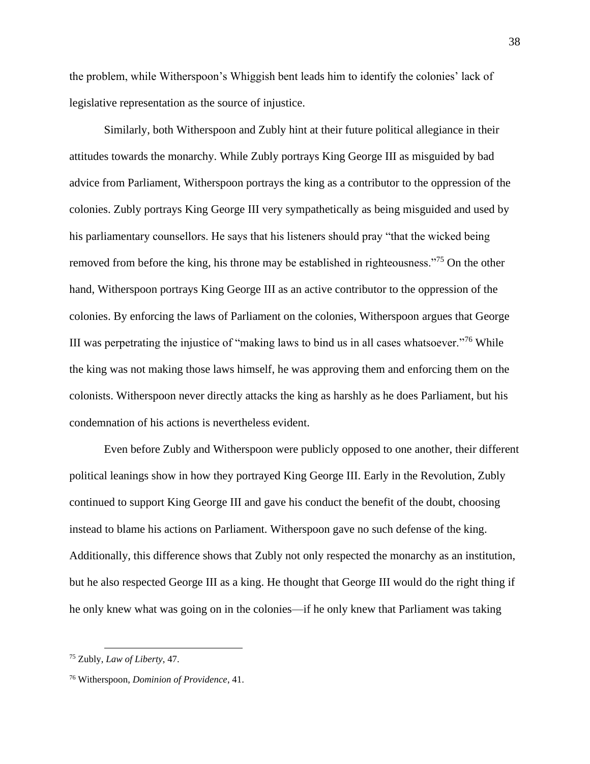the problem, while Witherspoon's Whiggish bent leads him to identify the colonies' lack of legislative representation as the source of injustice.

Similarly, both Witherspoon and Zubly hint at their future political allegiance in their attitudes towards the monarchy. While Zubly portrays King George III as misguided by bad advice from Parliament, Witherspoon portrays the king as a contributor to the oppression of the colonies. Zubly portrays King George III very sympathetically as being misguided and used by his parliamentary counsellors. He says that his listeners should pray "that the wicked being removed from before the king, his throne may be established in righteousness."<sup>75</sup> On the other hand, Witherspoon portrays King George III as an active contributor to the oppression of the colonies. By enforcing the laws of Parliament on the colonies, Witherspoon argues that George III was perpetrating the injustice of "making laws to bind us in all cases whatsoever."<sup>76</sup> While the king was not making those laws himself, he was approving them and enforcing them on the colonists. Witherspoon never directly attacks the king as harshly as he does Parliament, but his condemnation of his actions is nevertheless evident.

Even before Zubly and Witherspoon were publicly opposed to one another, their different political leanings show in how they portrayed King George III. Early in the Revolution, Zubly continued to support King George III and gave his conduct the benefit of the doubt, choosing instead to blame his actions on Parliament. Witherspoon gave no such defense of the king. Additionally, this difference shows that Zubly not only respected the monarchy as an institution, but he also respected George III as a king. He thought that George III would do the right thing if he only knew what was going on in the colonies—if he only knew that Parliament was taking

<sup>75</sup> Zubly, *Law of Liberty*, 47.

<sup>76</sup> Witherspoon, *Dominion of Providence*, 41.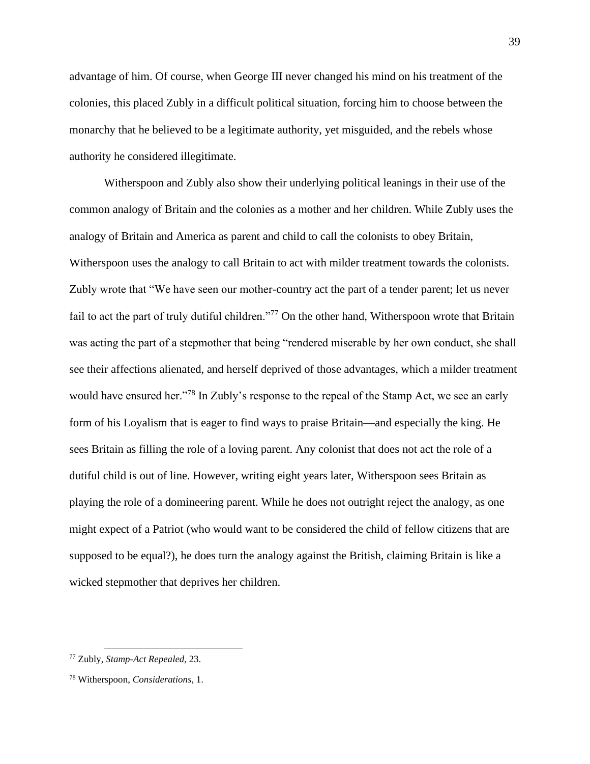advantage of him. Of course, when George III never changed his mind on his treatment of the colonies, this placed Zubly in a difficult political situation, forcing him to choose between the monarchy that he believed to be a legitimate authority, yet misguided, and the rebels whose authority he considered illegitimate.

Witherspoon and Zubly also show their underlying political leanings in their use of the common analogy of Britain and the colonies as a mother and her children. While Zubly uses the analogy of Britain and America as parent and child to call the colonists to obey Britain, Witherspoon uses the analogy to call Britain to act with milder treatment towards the colonists. Zubly wrote that "We have seen our mother-country act the part of a tender parent; let us never fail to act the part of truly dutiful children."<sup>77</sup> On the other hand, Witherspoon wrote that Britain was acting the part of a stepmother that being "rendered miserable by her own conduct, she shall see their affections alienated, and herself deprived of those advantages, which a milder treatment would have ensured her."<sup>78</sup> In Zubly's response to the repeal of the Stamp Act, we see an early form of his Loyalism that is eager to find ways to praise Britain—and especially the king. He sees Britain as filling the role of a loving parent. Any colonist that does not act the role of a dutiful child is out of line. However, writing eight years later, Witherspoon sees Britain as playing the role of a domineering parent. While he does not outright reject the analogy, as one might expect of a Patriot (who would want to be considered the child of fellow citizens that are supposed to be equal?), he does turn the analogy against the British, claiming Britain is like a wicked stepmother that deprives her children.

<sup>77</sup> Zubly, *Stamp-Act Repealed*, 23.

<sup>78</sup> Witherspoon, *Considerations*, 1.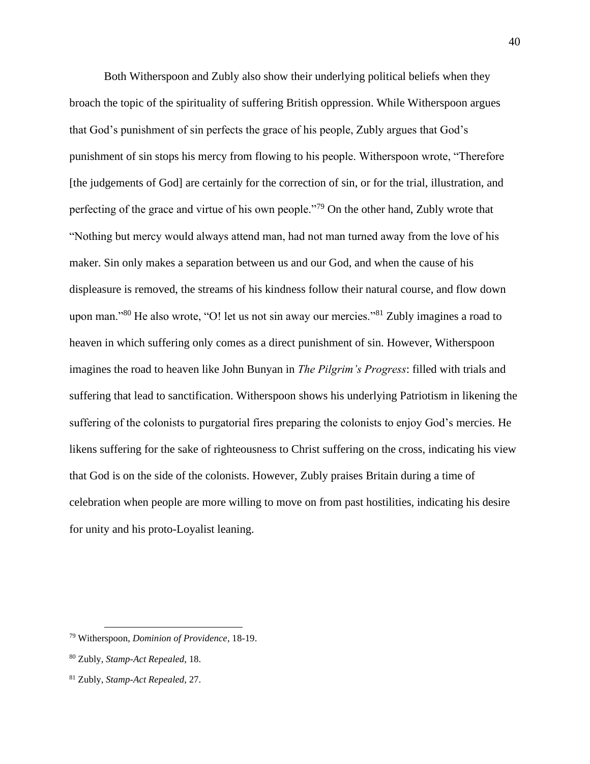Both Witherspoon and Zubly also show their underlying political beliefs when they broach the topic of the spirituality of suffering British oppression. While Witherspoon argues that God's punishment of sin perfects the grace of his people, Zubly argues that God's punishment of sin stops his mercy from flowing to his people. Witherspoon wrote, "Therefore [the judgements of God] are certainly for the correction of sin, or for the trial, illustration, and perfecting of the grace and virtue of his own people."<sup>79</sup> On the other hand, Zubly wrote that "Nothing but mercy would always attend man, had not man turned away from the love of his maker. Sin only makes a separation between us and our God, and when the cause of his displeasure is removed, the streams of his kindness follow their natural course, and flow down upon man."<sup>80</sup> He also wrote, "O! let us not sin away our mercies."<sup>81</sup> Zubly imagines a road to heaven in which suffering only comes as a direct punishment of sin. However, Witherspoon imagines the road to heaven like John Bunyan in *The Pilgrim's Progress*: filled with trials and suffering that lead to sanctification. Witherspoon shows his underlying Patriotism in likening the suffering of the colonists to purgatorial fires preparing the colonists to enjoy God's mercies. He likens suffering for the sake of righteousness to Christ suffering on the cross, indicating his view that God is on the side of the colonists. However, Zubly praises Britain during a time of celebration when people are more willing to move on from past hostilities, indicating his desire for unity and his proto-Loyalist leaning.

<sup>79</sup> Witherspoon, *Dominion of Providence*, 18-19.

<sup>80</sup> Zubly, *Stamp-Act Repealed*, 18.

<sup>81</sup> Zubly, *Stamp-Act Repealed*, 27.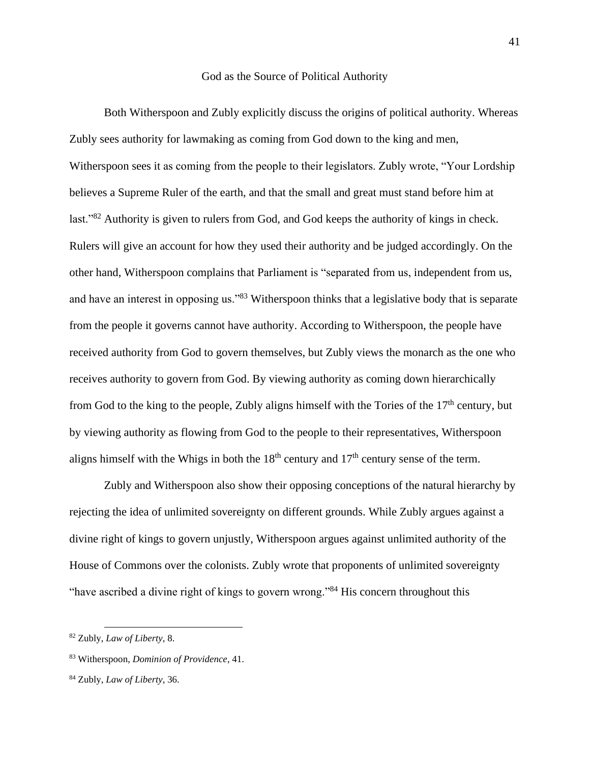#### God as the Source of Political Authority

Both Witherspoon and Zubly explicitly discuss the origins of political authority. Whereas Zubly sees authority for lawmaking as coming from God down to the king and men, Witherspoon sees it as coming from the people to their legislators. Zubly wrote, "Your Lordship believes a Supreme Ruler of the earth, and that the small and great must stand before him at last."<sup>82</sup> Authority is given to rulers from God, and God keeps the authority of kings in check. Rulers will give an account for how they used their authority and be judged accordingly. On the other hand, Witherspoon complains that Parliament is "separated from us, independent from us, and have an interest in opposing us."<sup>83</sup> Witherspoon thinks that a legislative body that is separate from the people it governs cannot have authority. According to Witherspoon, the people have received authority from God to govern themselves, but Zubly views the monarch as the one who receives authority to govern from God. By viewing authority as coming down hierarchically from God to the king to the people, Zubly aligns himself with the Tories of the  $17<sup>th</sup>$  century, but by viewing authority as flowing from God to the people to their representatives, Witherspoon aligns himself with the Whigs in both the  $18<sup>th</sup>$  century and  $17<sup>th</sup>$  century sense of the term.

Zubly and Witherspoon also show their opposing conceptions of the natural hierarchy by rejecting the idea of unlimited sovereignty on different grounds. While Zubly argues against a divine right of kings to govern unjustly, Witherspoon argues against unlimited authority of the House of Commons over the colonists. Zubly wrote that proponents of unlimited sovereignty "have ascribed a divine right of kings to govern wrong."<sup>84</sup> His concern throughout this

<sup>82</sup> Zubly, *Law of Liberty*, 8.

<sup>83</sup> Witherspoon, *Dominion of Providence*, 41.

<sup>84</sup> Zubly, *Law of Liberty*, 36.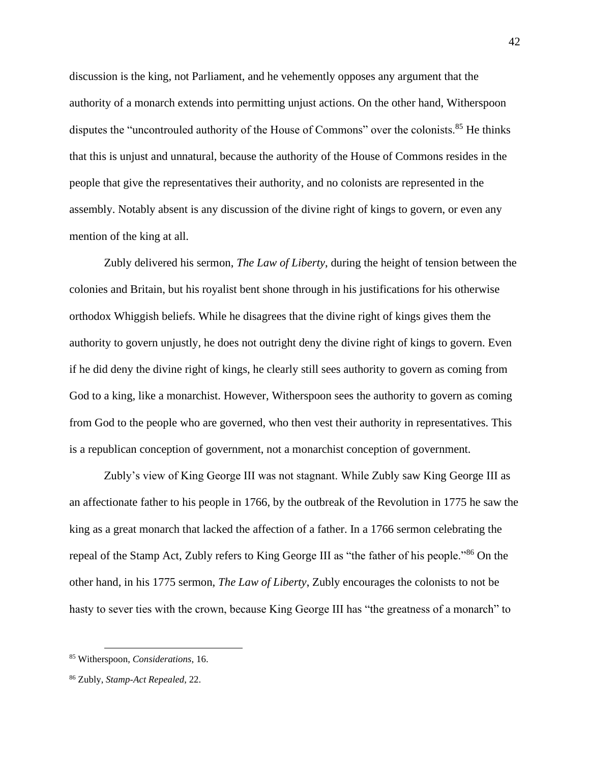discussion is the king, not Parliament, and he vehemently opposes any argument that the authority of a monarch extends into permitting unjust actions. On the other hand, Witherspoon disputes the "uncontrouled authority of the House of Commons" over the colonists.<sup>85</sup> He thinks that this is unjust and unnatural, because the authority of the House of Commons resides in the people that give the representatives their authority, and no colonists are represented in the assembly. Notably absent is any discussion of the divine right of kings to govern, or even any mention of the king at all.

Zubly delivered his sermon, *The Law of Liberty*, during the height of tension between the colonies and Britain, but his royalist bent shone through in his justifications for his otherwise orthodox Whiggish beliefs. While he disagrees that the divine right of kings gives them the authority to govern unjustly, he does not outright deny the divine right of kings to govern. Even if he did deny the divine right of kings, he clearly still sees authority to govern as coming from God to a king, like a monarchist. However, Witherspoon sees the authority to govern as coming from God to the people who are governed, who then vest their authority in representatives. This is a republican conception of government, not a monarchist conception of government.

Zubly's view of King George III was not stagnant. While Zubly saw King George III as an affectionate father to his people in 1766, by the outbreak of the Revolution in 1775 he saw the king as a great monarch that lacked the affection of a father. In a 1766 sermon celebrating the repeal of the Stamp Act, Zubly refers to King George III as "the father of his people."<sup>86</sup> On the other hand, in his 1775 sermon, *The Law of Liberty*, Zubly encourages the colonists to not be hasty to sever ties with the crown, because King George III has "the greatness of a monarch" to

<sup>85</sup> Witherspoon, *Considerations*, 16.

<sup>86</sup> Zubly, *Stamp-Act Repealed*, 22.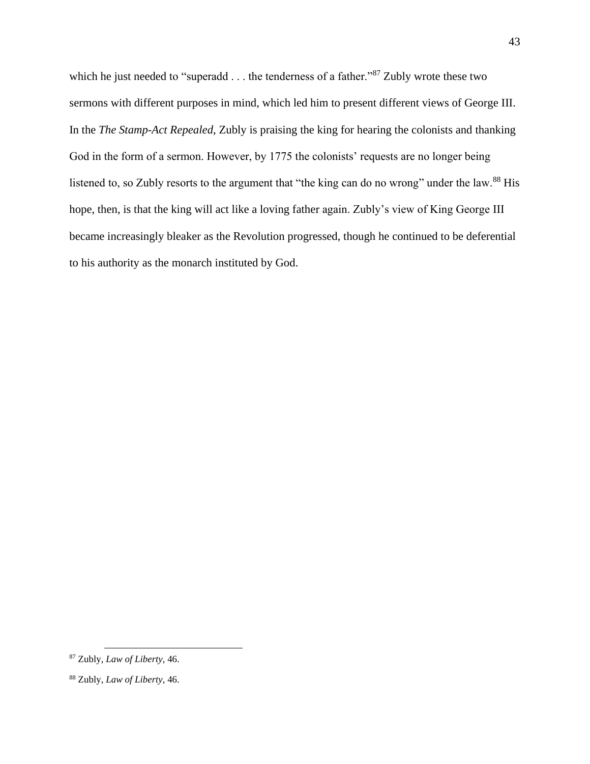which he just needed to "superadd . . . the tenderness of a father."<sup>87</sup> Zubly wrote these two sermons with different purposes in mind, which led him to present different views of George III. In the *The Stamp-Act Repealed*, Zubly is praising the king for hearing the colonists and thanking God in the form of a sermon. However, by 1775 the colonists' requests are no longer being listened to, so Zubly resorts to the argument that "the king can do no wrong" under the law.<sup>88</sup> His hope, then, is that the king will act like a loving father again. Zubly's view of King George III became increasingly bleaker as the Revolution progressed, though he continued to be deferential to his authority as the monarch instituted by God.

<sup>87</sup> Zubly, *Law of Liberty*, 46.

<sup>88</sup> Zubly, *Law of Liberty*, 46.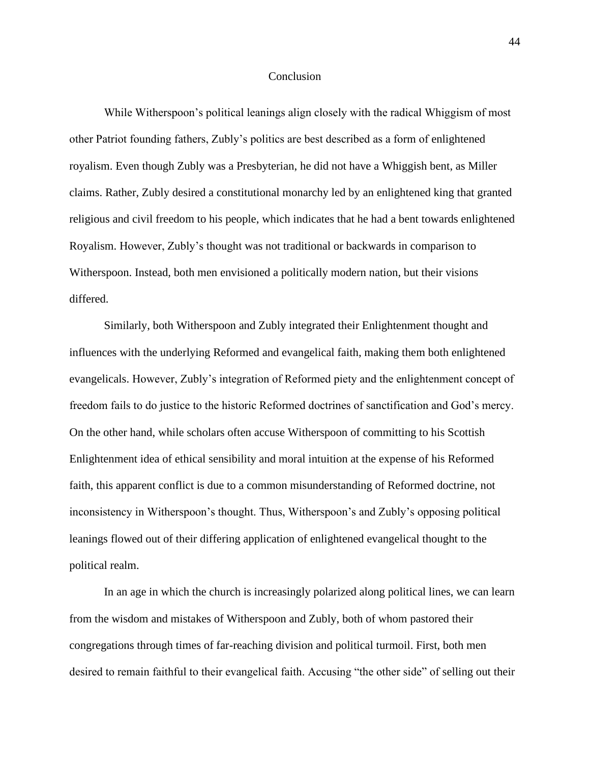#### Conclusion

While Witherspoon's political leanings align closely with the radical Whiggism of most other Patriot founding fathers, Zubly's politics are best described as a form of enlightened royalism. Even though Zubly was a Presbyterian, he did not have a Whiggish bent, as Miller claims. Rather, Zubly desired a constitutional monarchy led by an enlightened king that granted religious and civil freedom to his people, which indicates that he had a bent towards enlightened Royalism. However, Zubly's thought was not traditional or backwards in comparison to Witherspoon. Instead, both men envisioned a politically modern nation, but their visions differed.

Similarly, both Witherspoon and Zubly integrated their Enlightenment thought and influences with the underlying Reformed and evangelical faith, making them both enlightened evangelicals. However, Zubly's integration of Reformed piety and the enlightenment concept of freedom fails to do justice to the historic Reformed doctrines of sanctification and God's mercy. On the other hand, while scholars often accuse Witherspoon of committing to his Scottish Enlightenment idea of ethical sensibility and moral intuition at the expense of his Reformed faith, this apparent conflict is due to a common misunderstanding of Reformed doctrine, not inconsistency in Witherspoon's thought. Thus, Witherspoon's and Zubly's opposing political leanings flowed out of their differing application of enlightened evangelical thought to the political realm.

In an age in which the church is increasingly polarized along political lines, we can learn from the wisdom and mistakes of Witherspoon and Zubly, both of whom pastored their congregations through times of far-reaching division and political turmoil. First, both men desired to remain faithful to their evangelical faith. Accusing "the other side" of selling out their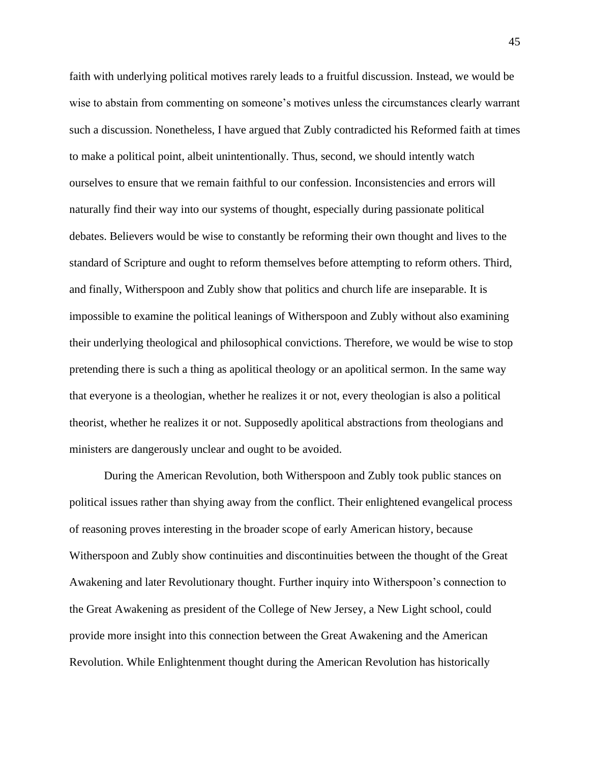faith with underlying political motives rarely leads to a fruitful discussion. Instead, we would be wise to abstain from commenting on someone's motives unless the circumstances clearly warrant such a discussion. Nonetheless, I have argued that Zubly contradicted his Reformed faith at times to make a political point, albeit unintentionally. Thus, second, we should intently watch ourselves to ensure that we remain faithful to our confession. Inconsistencies and errors will naturally find their way into our systems of thought, especially during passionate political debates. Believers would be wise to constantly be reforming their own thought and lives to the standard of Scripture and ought to reform themselves before attempting to reform others. Third, and finally, Witherspoon and Zubly show that politics and church life are inseparable. It is impossible to examine the political leanings of Witherspoon and Zubly without also examining their underlying theological and philosophical convictions. Therefore, we would be wise to stop pretending there is such a thing as apolitical theology or an apolitical sermon. In the same way that everyone is a theologian, whether he realizes it or not, every theologian is also a political theorist, whether he realizes it or not. Supposedly apolitical abstractions from theologians and ministers are dangerously unclear and ought to be avoided.

During the American Revolution, both Witherspoon and Zubly took public stances on political issues rather than shying away from the conflict. Their enlightened evangelical process of reasoning proves interesting in the broader scope of early American history, because Witherspoon and Zubly show continuities and discontinuities between the thought of the Great Awakening and later Revolutionary thought. Further inquiry into Witherspoon's connection to the Great Awakening as president of the College of New Jersey, a New Light school, could provide more insight into this connection between the Great Awakening and the American Revolution. While Enlightenment thought during the American Revolution has historically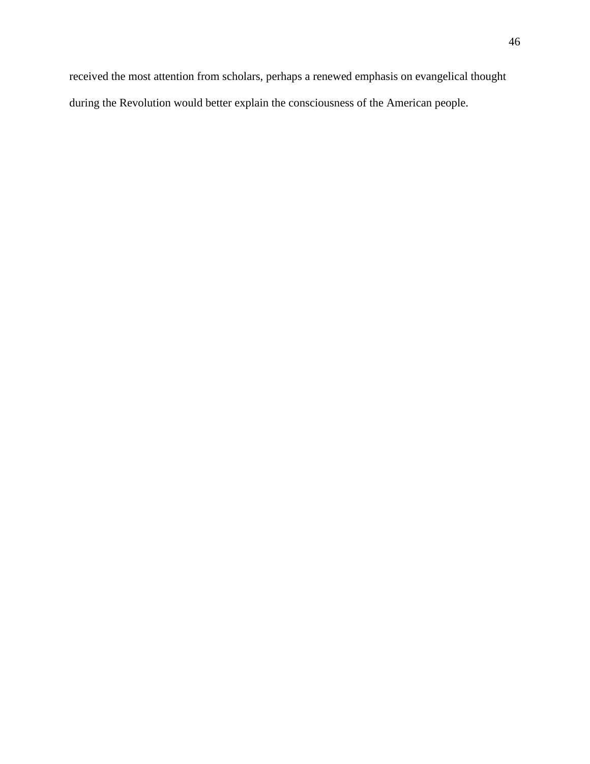received the most attention from scholars, perhaps a renewed emphasis on evangelical thought during the Revolution would better explain the consciousness of the American people.